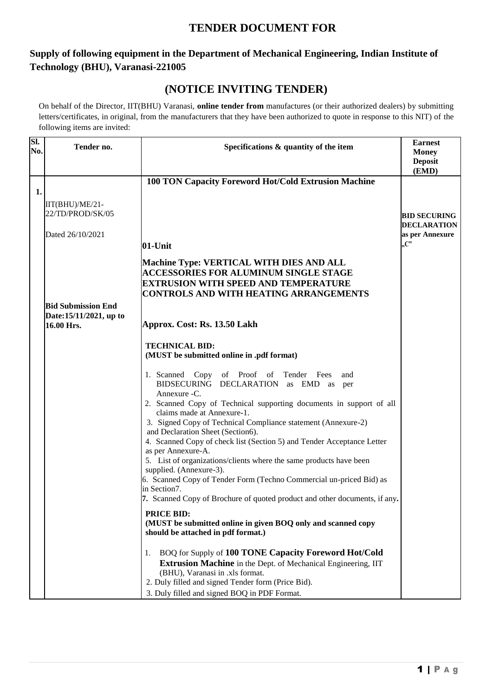# **TENDER DOCUMENT FOR**

## **Supply of following equipment in the Department of Mechanical Engineering, Indian Institute of Technology (BHU), Varanasi-221005**

## **(NOTICE INVITING TENDER)**

On behalf of the Director, IIT(BHU) Varanasi, **online tender from** manufactures (or their authorized dealers) by submitting letters/certificates, in original, from the manufacturers that they have been authorized to quote in response to this NIT) of the following items are invited:

| Sl. | Tender no.                | Specifications & quantity of the item                                                              | <b>Earnest</b>          |
|-----|---------------------------|----------------------------------------------------------------------------------------------------|-------------------------|
| No. |                           |                                                                                                    | <b>Money</b>            |
|     |                           |                                                                                                    | <b>Deposit</b><br>(EMD) |
|     |                           | 100 TON Capacity Foreword Hot/Cold Extrusion Machine                                               |                         |
| 1.  |                           |                                                                                                    |                         |
|     | IIT(BHU)/ME/21-           |                                                                                                    |                         |
|     | 22/TD/PROD/SK/05          |                                                                                                    | <b>BID SECURING</b>     |
|     |                           |                                                                                                    | <b>DECLARATION</b>      |
|     | Dated 26/10/2021          |                                                                                                    | as per Annexure         |
|     |                           | 01-Unit                                                                                            | $C^{\alpha}$            |
|     |                           |                                                                                                    |                         |
|     |                           | <b>Machine Type: VERTICAL WITH DIES AND ALL</b>                                                    |                         |
|     |                           | <b>ACCESSORIES FOR ALUMINUM SINGLE STAGE</b><br><b>EXTRUSION WITH SPEED AND TEMPERATURE</b>        |                         |
|     |                           | <b>CONTROLS AND WITH HEATING ARRANGEMENTS</b>                                                      |                         |
|     | <b>Bid Submission End</b> |                                                                                                    |                         |
|     | Date:15/11/2021, up to    |                                                                                                    |                         |
|     | 16.00 Hrs.                | Approx. Cost: Rs. 13.50 Lakh                                                                       |                         |
|     |                           |                                                                                                    |                         |
|     |                           | <b>TECHNICAL BID:</b>                                                                              |                         |
|     |                           | (MUST be submitted online in .pdf format)                                                          |                         |
|     |                           | 1. Scanned Copy of Proof of Tender Fees<br>and                                                     |                         |
|     |                           | BIDSECURING DECLARATION as EMD as<br>per                                                           |                         |
|     |                           | Annexure - C.                                                                                      |                         |
|     |                           | 2. Scanned Copy of Technical supporting documents in support of all                                |                         |
|     |                           | claims made at Annexure-1.                                                                         |                         |
|     |                           | 3. Signed Copy of Technical Compliance statement (Annexure-2)<br>and Declaration Sheet (Section6). |                         |
|     |                           | 4. Scanned Copy of check list (Section 5) and Tender Acceptance Letter                             |                         |
|     |                           | as per Annexure-A.                                                                                 |                         |
|     |                           | 5. List of organizations/clients where the same products have been                                 |                         |
|     |                           | supplied. (Annexure-3).                                                                            |                         |
|     |                           | 6. Scanned Copy of Tender Form (Techno Commercial un-priced Bid) as<br>in Section7.                |                         |
|     |                           | 7. Scanned Copy of Brochure of quoted product and other documents, if any.                         |                         |
|     |                           |                                                                                                    |                         |
|     |                           | <b>PRICE BID:</b><br>(MUST be submitted online in given BOQ only and scanned copy                  |                         |
|     |                           | should be attached in pdf format.)                                                                 |                         |
|     |                           |                                                                                                    |                         |
|     |                           | BOQ for Supply of 100 TONE Capacity Foreword Hot/Cold<br>1.                                        |                         |
|     |                           | Extrusion Machine in the Dept. of Mechanical Engineering, IIT                                      |                         |
|     |                           | (BHU), Varanasi in .xls format.                                                                    |                         |
|     |                           | 2. Duly filled and signed Tender form (Price Bid).                                                 |                         |
|     |                           | 3. Duly filled and signed BOQ in PDF Format.                                                       |                         |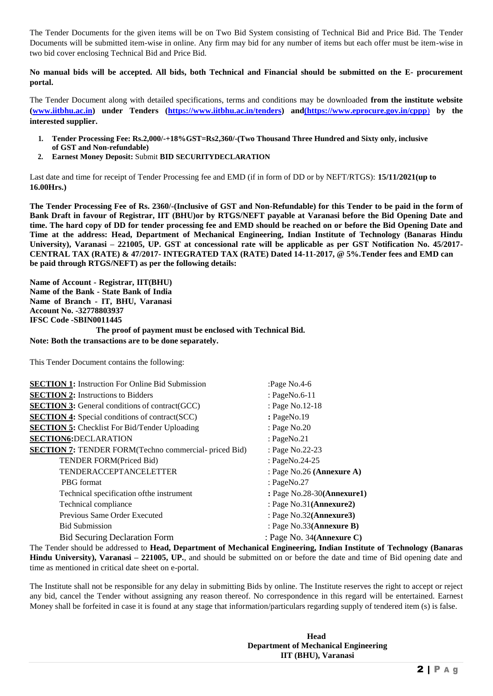The Tender Documents for the given items will be on Two Bid System consisting of Technical Bid and Price Bid. The Tender Documents will be submitted item-wise in online. Any firm may bid for any number of items but each offer must be item-wise in two bid cover enclosing Technical Bid and Price Bid.

**No manual bids will be accepted. All bids, both Technical and Financial should be submitted on the E- procurement portal.**

The Tender Document along with detailed specifications, terms and conditions may be downloaded **from the institute websit[e](http://www.iitbhu.ac.in/) [\(www.iitbhu.ac.in\)](http://www.iitbhu.ac.in/) under Tenders [\(https://www.iitbhu.ac.in/tenders\)](https://www.iitbhu.ac.in/tenders) and(https[://www.eprocure.gov.in/cppp](http://www.eprocure.gov.in/cppp)by)**) **by the interested supplier.**

- **1. Tender Processing Fee: Rs.2,000/-+18%GST=Rs2,360/-(Two Thousand Three Hundred and Sixty only, inclusive of GST and Non-refundable)**
- **2. Earnest Money Deposit:** Submit **BID SECURITYDECLARATION**

Last date and time for receipt of Tender Processing fee and EMD (if in form of DD or by NEFT/RTGS): **15/11/2021(up to 16.00Hrs.)**

**The Tender Processing Fee of Rs. 2360/-(Inclusive of GST and Non-Refundable) for this Tender to be paid in the form of Bank Draft in favour of Registrar, IIT (BHU)or by RTGS/NEFT payable at Varanasi before the Bid Opening Date and time. The hard copy of DD for tender processing fee and EMD should be reached on or before the Bid Opening Date and Time at the address: Head, Department of Mechanical Engineering, Indian Institute of Technology (Banaras Hindu University), Varanasi – 221005, UP. GST at concessional rate will be applicable as per GST Notification No. 45/2017- CENTRAL TAX (RATE) & 47/2017- INTEGRATED TAX (RATE) Dated 14-11-2017, @ 5%.Tender fees and EMD can be paid through RTGS/NEFT) as per the following details:**

**Name of Account - Registrar, IIT(BHU) Name of the Bank - State Bank of India Name of Branch - IT, BHU, Varanasi Account No. -32778803937 IFSC Code -SBIN0011445 The proof of payment must be enclosed with Technical Bid.**

**Note: Both the transactions are to be done separately.**

This Tender Document contains the following:

| <b>SECTION 1:</b> Instruction For Online Bid Submission                                       | :Page $No.4-6$               |
|-----------------------------------------------------------------------------------------------|------------------------------|
| <b>SECTION 2:</b> Instructions to Bidders                                                     | : PageNo.6-11                |
| <b>SECTION 3:</b> General conditions of contract(GCC)                                         | : Page No.12-18              |
| <b>SECTION 4:</b> Special conditions of contract(SCC)                                         | : PageNo.19                  |
| <b>SECTION 5:</b> Checklist For Bid/Tender Uploading                                          | : Page No.20                 |
| <b>SECTION6:DECLARATION</b>                                                                   | : PageNo.21                  |
| <b>SECTION 7: TENDER FORM(Techno commercial- priced Bid)</b>                                  | : Page No.22-23              |
| TENDER FORM(Priced Bid)                                                                       | : PageNo.24-25               |
| <b>TENDERACCEPTANCELETTER</b>                                                                 | : Page No.26 (Annexure A)    |
| <b>PBG</b> format                                                                             | : PageNo.27                  |
| Technical specification of the instrument                                                     | : Page No.28-30(Annexure1)   |
| Technical compliance                                                                          | : Page No.31(Annexure2)      |
| Previous Same Order Executed                                                                  | : Page No.32(Annexure3)      |
| <b>Bid Submission</b>                                                                         | : Page $No.33$ (Annexure B)  |
| <b>Bid Securing Declaration Form</b>                                                          | : Page No. $34(An$ nexure C) |
| The Tender should be eddressed to Head, Department of Mechanical Engineering. Indian Institut |                              |

The Tender should be addressed to **Head, Department of Mechanical Engineering, Indian Institute of Technology (Banaras Hindu University), Varanasi – 221005, UP.**, and should be submitted on or before the date and time of Bid opening date and time as mentioned in critical date sheet on e-portal.

The Institute shall not be responsible for any delay in submitting Bids by online. The Institute reserves the right to accept or reject any bid, cancel the Tender without assigning any reason thereof. No correspondence in this regard will be entertained. Earnest Money shall be forfeited in case it is found at any stage that information/particulars regarding supply of tendered item (s) is false.

> **Head Department of Mechanical Engineering IIT (BHU), Varanasi**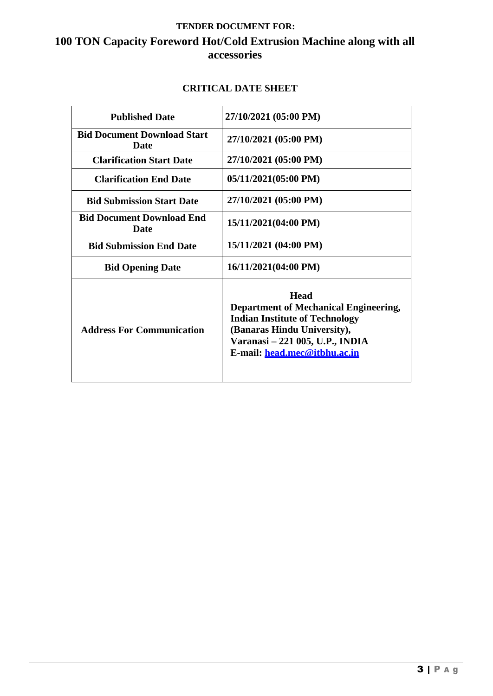## **TENDER DOCUMENT FOR: 100 TON Capacity Foreword Hot/Cold Extrusion Machine along with all accessories**

## **CRITICAL DATE SHEET**

| <b>Published Date</b>                           | 27/10/2021 (05:00 PM)                                                                                                                                                                                  |
|-------------------------------------------------|--------------------------------------------------------------------------------------------------------------------------------------------------------------------------------------------------------|
| <b>Bid Document Download Start</b><br>Date      | 27/10/2021 (05:00 PM)                                                                                                                                                                                  |
| <b>Clarification Start Date</b>                 | 27/10/2021 (05:00 PM)                                                                                                                                                                                  |
| <b>Clarification End Date</b>                   | 05/11/2021(05:00 PM)                                                                                                                                                                                   |
| <b>Bid Submission Start Date</b>                | 27/10/2021 (05:00 PM)                                                                                                                                                                                  |
| <b>Bid Document Download End</b><br><b>Date</b> | 15/11/2021(04:00 PM)                                                                                                                                                                                   |
| <b>Bid Submission End Date</b>                  | 15/11/2021 (04:00 PM)                                                                                                                                                                                  |
| <b>Bid Opening Date</b>                         | 16/11/2021(04:00 PM)                                                                                                                                                                                   |
| <b>Address For Communication</b>                | <b>Head</b><br><b>Department of Mechanical Engineering,</b><br><b>Indian Institute of Technology</b><br>(Banaras Hindu University),<br>Varanasi – 221 005, U.P., INDIA<br>E-mail: head.mec@itbhu.ac.in |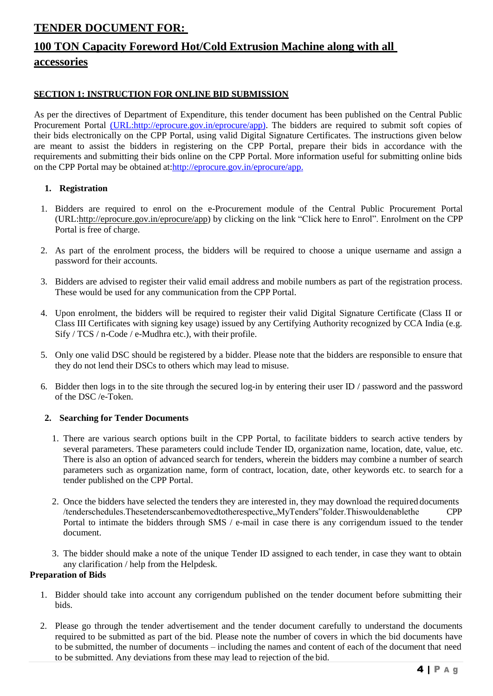## **TENDER DOCUMENT FOR:**

# **100 TON Capacity Foreword Hot/Cold Extrusion Machine along with all accessories**

### **SECTION 1: INSTRUCTION FOR ONLINE BID SUBMISSION**

As per the directives of Department of Expenditure, this tender document has been published on the Central Public Procurement Portal (URL[:http://eprocure.gov.in/eprocure/app\).](http://eprocure.gov.in/eprocure/app)) The bidders are required to submit soft copies of their bids electronically on the CPP Portal, using valid Digital Signature Certificates. The instructions given below are meant to assist the bidders in registering on the CPP Portal, prepare their bids in accordance with the requirements and submitting their bids online on the CPP Portal. More information useful for submitting online bids on the CPP Portal may be obtained at[:http://eprocure.gov.in/eprocure/app.](http://eprocure.gov.in/eprocure/app)

#### **1. Registration**

- 1. Bidders are required to enrol on the e-Procurement module of the Central Public Procurement Portal (URL[:http://eprocure.gov.in/eprocure/app\) by c](http://eprocure.gov.in/eprocure/app)licking on the link "Click here to Enrol". Enrolment on the CPP Portal is free of charge.
- 2. As part of the enrolment process, the bidders will be required to choose a unique username and assign a password for their accounts.
- 3. Bidders are advised to register their valid email address and mobile numbers as part of the registration process. These would be used for any communication from the CPP Portal.
- 4. Upon enrolment, the bidders will be required to register their valid Digital Signature Certificate (Class II or Class III Certificates with signing key usage) issued by any Certifying Authority recognized by CCA India (e.g. Sify / TCS / n-Code / e-Mudhra etc.), with their profile.
- 5. Only one valid DSC should be registered by a bidder. Please note that the bidders are responsible to ensure that they do not lend their DSCs to others which may lead to misuse.
- 6. Bidder then logs in to the site through the secured log-in by entering their user ID / password and the password of the DSC /e-Token.

#### **2. Searching for Tender Documents**

- 1. There are various search options built in the CPP Portal, to facilitate bidders to search active tenders by several parameters. These parameters could include Tender ID, organization name, location, date, value, etc. There is also an option of advanced search for tenders, wherein the bidders may combine a number of search parameters such as organization name, form of contract, location, date, other keywords etc. to search for a tender published on the CPP Portal.
- 2. Once the bidders have selected the tenders they are interested in, they may download the required documents /tenderschedules.Thesetenderscanbemovedtotherespective,,MyTenders"folder.Thiswouldenablethe CPP Portal to intimate the bidders through SMS / e-mail in case there is any corrigendum issued to the tender document.
- 3. The bidder should make a note of the unique Tender ID assigned to each tender, in case they want to obtain any clarification / help from the Helpdesk.

### **Preparation of Bids**

- 1. Bidder should take into account any corrigendum published on the tender document before submitting their bids.
- 2. Please go through the tender advertisement and the tender document carefully to understand the documents required to be submitted as part of the bid. Please note the number of covers in which the bid documents have to be submitted, the number of documents – including the names and content of each of the document that need to be submitted. Any deviations from these may lead to rejection of the bid.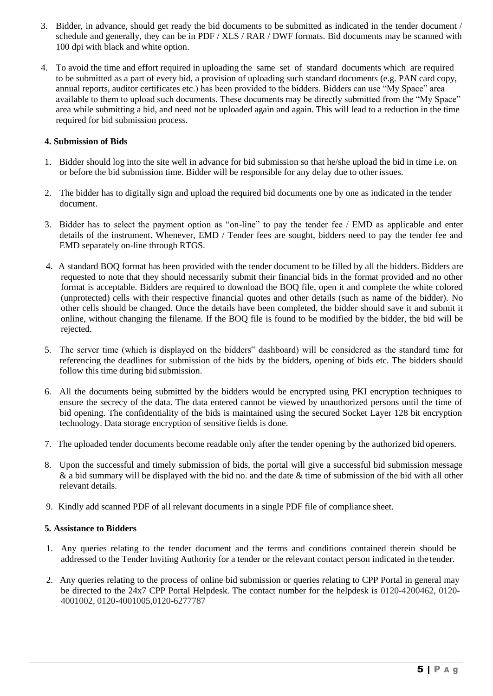- 3. Bidder, in advance, should get ready the bid documents to be submitted as indicated in the tender document / schedule and generally, they can be in PDF / XLS / RAR / DWF formats. Bid documents may be scanned with 100 dpi with black and white option.
- 4. To avoid the time and effort required in uploading the same set of standard documents which are required to be submitted as a part of every bid, a provision of uploading such standard documents (e.g. PAN card copy, annual reports, auditor certificates etc.) has been provided to the bidders. Bidders can use "My Space" area available to them to upload such documents. These documents may be directly submitted from the "My Space" area while submitting a bid, and need not be uploaded again and again. This will lead to a reduction in the time required for bid submission process.

#### **4. Submission of Bids**

- 1. Bidder should log into the site well in advance for bid submission so that he/she upload the bid in time i.e. on or before the bid submission time. Bidder will be responsible for any delay due to other issues.
- 2. The bidder has to digitally sign and upload the required bid documents one by one as indicated in the tender document.
- 3. Bidder has to select the payment option as "on-line" to pay the tender fee / EMD as applicable and enter details of the instrument. Whenever, EMD / Tender fees are sought, bidders need to pay the tender fee and EMD separately on-line through RTGS.
- 4. A standard BOQ format has been provided with the tender document to be filled by all the bidders. Bidders are requested to note that they should necessarily submit their financial bids in the format provided and no other format is acceptable. Bidders are required to download the BOQ file, open it and complete the white colored (unprotected) cells with their respective financial quotes and other details (such as name of the bidder). No other cells should be changed. Once the details have been completed, the bidder should save it and submit it online, without changing the filename. If the BOQ file is found to be modified by the bidder, the bid will be rejected.
- 5. The server time (which is displayed on the bidders" dashboard) will be considered as the standard time for referencing the deadlines for submission of the bids by the bidders, opening of bids etc. The bidders should follow this time during bid submission.
- 6. All the documents being submitted by the bidders would be encrypted using PKI encryption techniques to ensure the secrecy of the data. The data entered cannot be viewed by unauthorized persons until the time of bid opening. The confidentiality of the bids is maintained using the secured Socket Layer 128 bit encryption technology. Data storage encryption of sensitive fields is done.
- 7. The uploaded tender documents become readable only after the tender opening by the authorized bid openers.
- 8. Upon the successful and timely submission of bids, the portal will give a successful bid submission message  $\&$  a bid summary will be displayed with the bid no. and the date  $\&$  time of submission of the bid with all other relevant details.
- 9. Kindly add scanned PDF of all relevant documents in a single PDF file of compliance sheet.

#### **5. Assistance to Bidders**

- 1. Any queries relating to the tender document and the terms and conditions contained therein should be addressed to the Tender Inviting Authority for a tender or the relevant contact person indicated in the tender.
- 2. Any queries relating to the process of online bid submission or queries relating to CPP Portal in general may be directed to the 24x7 CPP Portal Helpdesk. The contact number for the helpdesk is 0120-4200462, 0120- 4001002, 0120-4001005,0120-6277787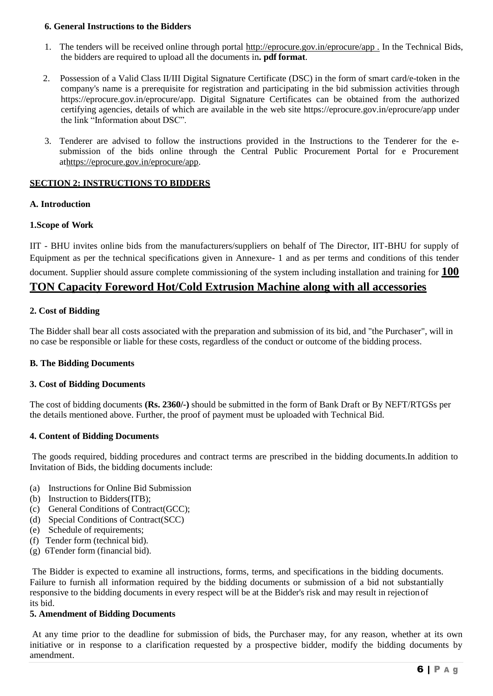### **6. General Instructions to the Bidders**

- 1. The tenders will be received online through portal [http://eprocure.gov.in/eprocure/app .](http://eprocure.gov.in/eprocure/app) In the Technical Bids, the bidders are required to upload all the documents in**. pdf format**.
- 2. Possession of a Valid Class II/III Digital Signature Certificate (DSC) in the form of smart card/e-token in the company's name is a prerequisite for registration and participating in the bid submission activities through https://eprocure.gov.in/eprocure/app. Digital Signature Certificates can be obtained from the authorized certifying agencies, details of which are available in the web site https://eprocure.gov.in/eprocure/app under the link "Information about DSC".
- 3. Tenderer are advised to follow the instructions provided in the Instructions to the Tenderer for the esubmission of the bids online through the Central Public Procurement Portal for e Procurement [athttps://eprocure.gov.in/eprocure/app.](https://eprocure.gov.in/eprocure/app)

#### **SECTION 2: INSTRUCTIONS TO BIDDERS**

#### **A. Introduction**

#### **1.Scope of Work**

IIT - BHU invites online bids from the manufacturers/suppliers on behalf of The Director, IIT-BHU for supply of Equipment as per the technical specifications given in Annexure- 1 and as per terms and conditions of this tender document. Supplier should assure complete commissioning of the system including installation and training for **100**

## **TON Capacity Foreword Hot/Cold Extrusion Machine along with all accessories**

## **2. Cost of Bidding**

The Bidder shall bear all costs associated with the preparation and submission of its bid, and "the Purchaser", will in no case be responsible or liable for these costs, regardless of the conduct or outcome of the bidding process.

#### **B. The Bidding Documents**

### **3. Cost of Bidding Documents**

The cost of bidding documents **(Rs. 2360/-)** should be submitted in the form of Bank Draft or By NEFT/RTGSs per the details mentioned above. Further, the proof of payment must be uploaded with Technical Bid.

#### **4. Content of Bidding Documents**

The goods required, bidding procedures and contract terms are prescribed in the bidding documents.In addition to Invitation of Bids, the bidding documents include:

- (a) Instructions for Online Bid Submission
- (b) Instruction to Bidders(ITB);
- (c) General Conditions of Contract(GCC);
- (d) Special Conditions of Contract(SCC)
- (e) Schedule of requirements;
- (f) Tender form (technical bid).
- (g) 6Tender form (financial bid).

The Bidder is expected to examine all instructions, forms, terms, and specifications in the bidding documents. Failure to furnish all information required by the bidding documents or submission of a bid not substantially responsive to the bidding documents in every respect will be at the Bidder's risk and may result in rejection of its bid.

#### **5. Amendment of Bidding Documents**

At any time prior to the deadline for submission of bids, the Purchaser may, for any reason, whether at its own initiative or in response to a clarification requested by a prospective bidder, modify the bidding documents by amendment.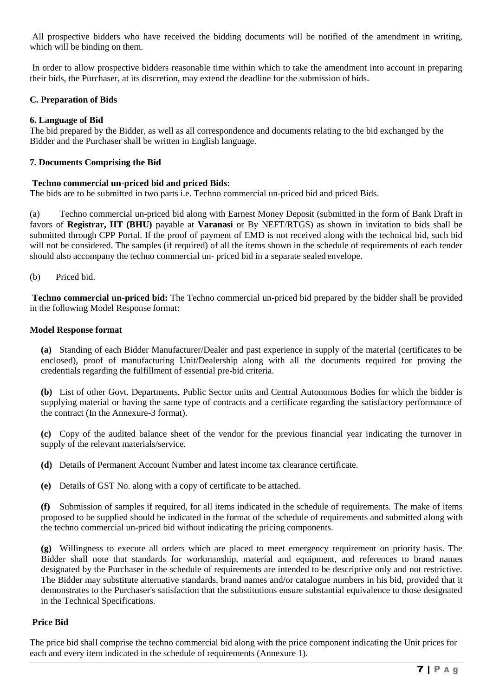All prospective bidders who have received the bidding documents will be notified of the amendment in writing, which will be binding on them.

In order to allow prospective bidders reasonable time within which to take the amendment into account in preparing their bids, the Purchaser, at its discretion, may extend the deadline for the submission of bids.

## **C. Preparation of Bids**

## **6. Language of Bid**

The bid prepared by the Bidder, as well as all correspondence and documents relating to the bid exchanged by the Bidder and the Purchaser shall be written in English language.

## **7. Documents Comprising the Bid**

#### **Techno commercial un-priced bid and priced Bids:**

The bids are to be submitted in two parts i.e. Techno commercial un-priced bid and priced Bids.

(a) Techno commercial un-priced bid along with Earnest Money Deposit (submitted in the form of Bank Draft in favors of **Registrar, IIT (BHU)** payable at **Varanasi** or By NEFT/RTGS) as shown in invitation to bids shall be submitted through CPP Portal. If the proof of payment of EMD is not received along with the technical bid, such bid will not be considered. The samples (if required) of all the items shown in the schedule of requirements of each tender should also accompany the techno commercial un- priced bid in a separate sealed envelope.

(b) Priced bid.

**Techno commercial un-priced bid:** The Techno commercial un-priced bid prepared by the bidder shall be provided in the following Model Response format:

#### **Model Response format**

**(a)** Standing of each Bidder Manufacturer/Dealer and past experience in supply of the material (certificates to be enclosed), proof of manufacturing Unit/Dealership along with all the documents required for proving the credentials regarding the fulfillment of essential pre-bid criteria.

**(b)** List of other Govt. Departments, Public Sector units and Central Autonomous Bodies for which the bidder is supplying material or having the same type of contracts and a certificate regarding the satisfactory performance of the contract (In the Annexure-3 format).

**(c)** Copy of the audited balance sheet of the vendor for the previous financial year indicating the turnover in supply of the relevant materials/service.

**(d)** Details of Permanent Account Number and latest income tax clearance certificate.

**(e)** Details of GST No. along with a copy of certificate to be attached.

**(f)** Submission of samples if required, for all items indicated in the schedule of requirements. The make of items proposed to be supplied should be indicated in the format of the schedule of requirements and submitted along with the techno commercial un-priced bid without indicating the pricing components.

**(g)** Willingness to execute all orders which are placed to meet emergency requirement on priority basis. The Bidder shall note that standards for workmanship, material and equipment, and references to brand names designated by the Purchaser in the schedule of requirements are intended to be descriptive only and not restrictive. The Bidder may substitute alternative standards, brand names and/or catalogue numbers in his bid, provided that it demonstrates to the Purchaser's satisfaction that the substitutions ensure substantial equivalence to those designated in the Technical Specifications.

## **Price Bid**

The price bid shall comprise the techno commercial bid along with the price component indicating the Unit prices for each and every item indicated in the schedule of requirements (Annexure 1).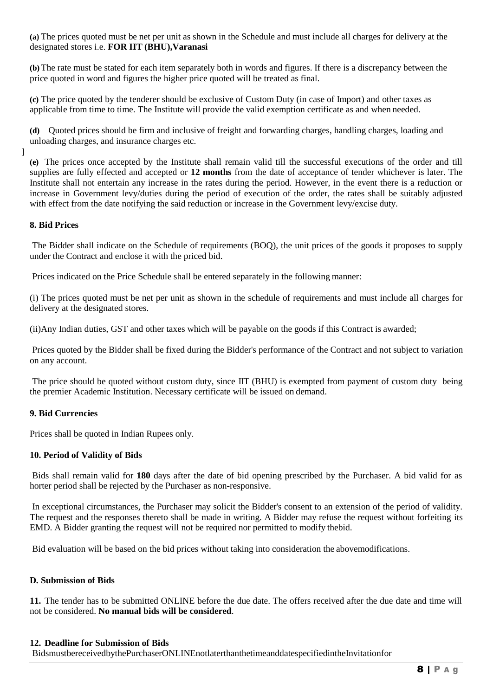**(a)** The prices quoted must be net per unit as shown in the Schedule and must include all charges for delivery at the designated stores i.e. **FOR IIT (BHU),Varanasi**

**(b)** The rate must be stated for each item separately both in words and figures. If there is a discrepancy between the price quoted in word and figures the higher price quoted will be treated as final.

**(c)** The price quoted by the tenderer should be exclusive of Custom Duty (in case of Import) and other taxes as applicable from time to time. The Institute will provide the valid exemption certificate as and when needed.

**(d)** Quoted prices should be firm and inclusive of freight and forwarding charges, handling charges, loading and unloading charges, and insurance charges etc.

]

**(e)** The prices once accepted by the Institute shall remain valid till the successful executions of the order and till supplies are fully effected and accepted or **12 months** from the date of acceptance of tender whichever is later. The Institute shall not entertain any increase in the rates during the period. However, in the event there is a reduction or increase in Government levy/duties during the period of execution of the order, the rates shall be suitably adjusted with effect from the date notifying the said reduction or increase in the Government levy/excise duty.

#### **8. Bid Prices**

The Bidder shall indicate on the Schedule of requirements (BOQ), the unit prices of the goods it proposes to supply under the Contract and enclose it with the priced bid.

Prices indicated on the Price Schedule shall be entered separately in the following manner:

(i) The prices quoted must be net per unit as shown in the schedule of requirements and must include all charges for delivery at the designated stores.

(ii)Any Indian duties, GST and other taxes which will be payable on the goods if this Contract is awarded;

Prices quoted by the Bidder shall be fixed during the Bidder's performance of the Contract and not subject to variation on any account.

The price should be quoted without custom duty, since IIT (BHU) is exempted from payment of custom duty being the premier Academic Institution. Necessary certificate will be issued on demand.

#### **9. Bid Currencies**

Prices shall be quoted in Indian Rupees only.

#### **10. Period of Validity of Bids**

Bids shall remain valid for **180** days after the date of bid opening prescribed by the Purchaser. A bid valid for as horter period shall be rejected by the Purchaser as non-responsive.

In exceptional circumstances, the Purchaser may solicit the Bidder's consent to an extension of the period of validity. The request and the responses thereto shall be made in writing. A Bidder may refuse the request without forfeiting its EMD. A Bidder granting the request will not be required nor permitted to modify thebid.

Bid evaluation will be based on the bid prices without taking into consideration the abovemodifications.

#### **D. Submission of Bids**

**11.** The tender has to be submitted ONLINE before the due date. The offers received after the due date and time will not be considered. **No manual bids will be considered**.

#### **12. Deadline for Submission of Bids**

BidsmustbereceivedbythePurchaserONLINEnotlaterthanthetimeanddatespecifiedintheInvitationfor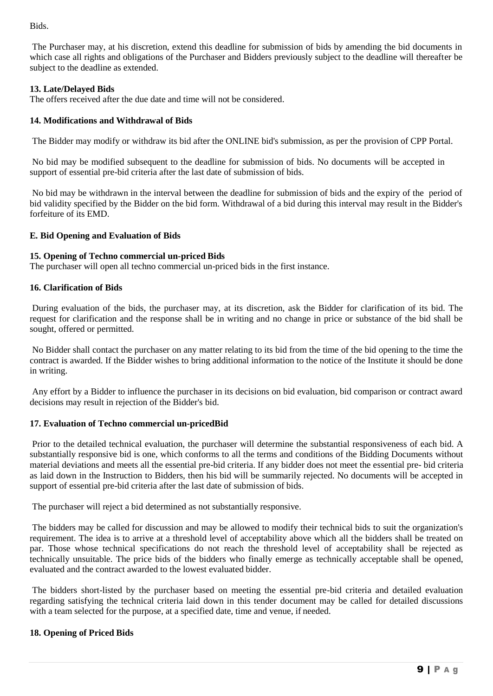Bids.

The Purchaser may, at his discretion, extend this deadline for submission of bids by amending the bid documents in which case all rights and obligations of the Purchaser and Bidders previously subject to the deadline will thereafter be subject to the deadline as extended.

## **13. Late/Delayed Bids**

The offers received after the due date and time will not be considered.

## **14. Modifications and Withdrawal of Bids**

The Bidder may modify or withdraw its bid after the ONLINE bid's submission, as per the provision of CPP Portal.

No bid may be modified subsequent to the deadline for submission of bids. No documents will be accepted in support of essential pre-bid criteria after the last date of submission of bids.

No bid may be withdrawn in the interval between the deadline for submission of bids and the expiry of the period of bid validity specified by the Bidder on the bid form. Withdrawal of a bid during this interval may result in the Bidder's forfeiture of its EMD.

## **E. Bid Opening and Evaluation of Bids**

#### **15. Opening of Techno commercial un-priced Bids**

The purchaser will open all techno commercial un-priced bids in the first instance.

#### **16. Clarification of Bids**

During evaluation of the bids, the purchaser may, at its discretion, ask the Bidder for clarification of its bid. The request for clarification and the response shall be in writing and no change in price or substance of the bid shall be sought, offered or permitted.

No Bidder shall contact the purchaser on any matter relating to its bid from the time of the bid opening to the time the contract is awarded. If the Bidder wishes to bring additional information to the notice of the Institute it should be done in writing.

Any effort by a Bidder to influence the purchaser in its decisions on bid evaluation, bid comparison or contract award decisions may result in rejection of the Bidder's bid.

#### **17. Evaluation of Techno commercial un-pricedBid**

Prior to the detailed technical evaluation, the purchaser will determine the substantial responsiveness of each bid. A substantially responsive bid is one, which conforms to all the terms and conditions of the Bidding Documents without material deviations and meets all the essential pre-bid criteria. If any bidder does not meet the essential pre- bid criteria as laid down in the Instruction to Bidders, then his bid will be summarily rejected. No documents will be accepted in support of essential pre-bid criteria after the last date of submission of bids.

The purchaser will reject a bid determined as not substantially responsive.

The bidders may be called for discussion and may be allowed to modify their technical bids to suit the organization's requirement. The idea is to arrive at a threshold level of acceptability above which all the bidders shall be treated on par. Those whose technical specifications do not reach the threshold level of acceptability shall be rejected as technically unsuitable. The price bids of the bidders who finally emerge as technically acceptable shall be opened, evaluated and the contract awarded to the lowest evaluated bidder.

The bidders short-listed by the purchaser based on meeting the essential pre-bid criteria and detailed evaluation regarding satisfying the technical criteria laid down in this tender document may be called for detailed discussions with a team selected for the purpose, at a specified date, time and venue, if needed.

## **18. Opening of Priced Bids**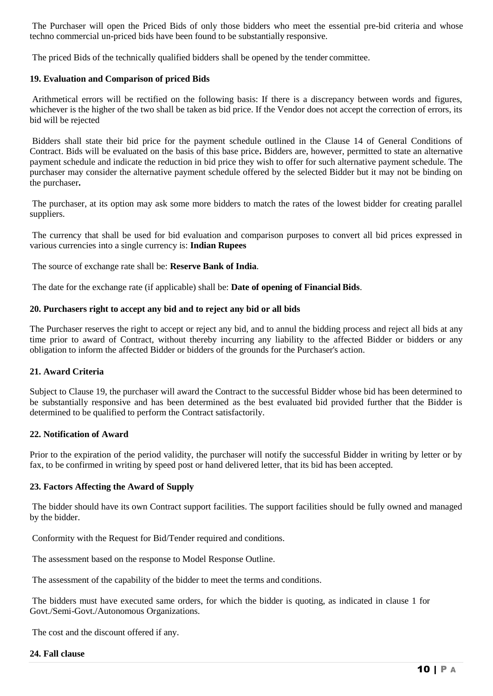The Purchaser will open the Priced Bids of only those bidders who meet the essential pre-bid criteria and whose techno commercial un-priced bids have been found to be substantially responsive.

The priced Bids of the technically qualified bidders shall be opened by the tender committee.

#### **19. Evaluation and Comparison of priced Bids**

Arithmetical errors will be rectified on the following basis: If there is a discrepancy between words and figures, whichever is the higher of the two shall be taken as bid price. If the Vendor does not accept the correction of errors, its bid will be rejected

Bidders shall state their bid price for the payment schedule outlined in the Clause 14 of General Conditions of Contract. Bids will be evaluated on the basis of this base price**.** Bidders are, however, permitted to state an alternative payment schedule and indicate the reduction in bid price they wish to offer for such alternative payment schedule. The purchaser may consider the alternative payment schedule offered by the selected Bidder but it may not be binding on the purchaser**.**

The purchaser, at its option may ask some more bidders to match the rates of the lowest bidder for creating parallel suppliers.

The currency that shall be used for bid evaluation and comparison purposes to convert all bid prices expressed in various currencies into a single currency is: **Indian Rupees**

The source of exchange rate shall be: **Reserve Bank of India**.

The date for the exchange rate (if applicable) shall be: **Date of opening of Financial Bids**.

#### **20. Purchasers right to accept any bid and to reject any bid or all bids**

The Purchaser reserves the right to accept or reject any bid, and to annul the bidding process and reject all bids at any time prior to award of Contract, without thereby incurring any liability to the affected Bidder or bidders or any obligation to inform the affected Bidder or bidders of the grounds for the Purchaser's action.

#### **21. Award Criteria**

Subject to Clause 19, the purchaser will award the Contract to the successful Bidder whose bid has been determined to be substantially responsive and has been determined as the best evaluated bid provided further that the Bidder is determined to be qualified to perform the Contract satisfactorily.

#### **22. Notification of Award**

Prior to the expiration of the period validity, the purchaser will notify the successful Bidder in writing by letter or by fax, to be confirmed in writing by speed post or hand delivered letter, that its bid has been accepted.

#### **23. Factors Affecting the Award of Supply**

The bidder should have its own Contract support facilities. The support facilities should be fully owned and managed by the bidder.

Conformity with the Request for Bid/Tender required and conditions.

The assessment based on the response to Model Response Outline.

The assessment of the capability of the bidder to meet the terms and conditions.

The bidders must have executed same orders, for which the bidder is quoting, as indicated in clause 1 for Govt./Semi-Govt./Autonomous Organizations.

The cost and the discount offered if any.

#### **24. Fall clause**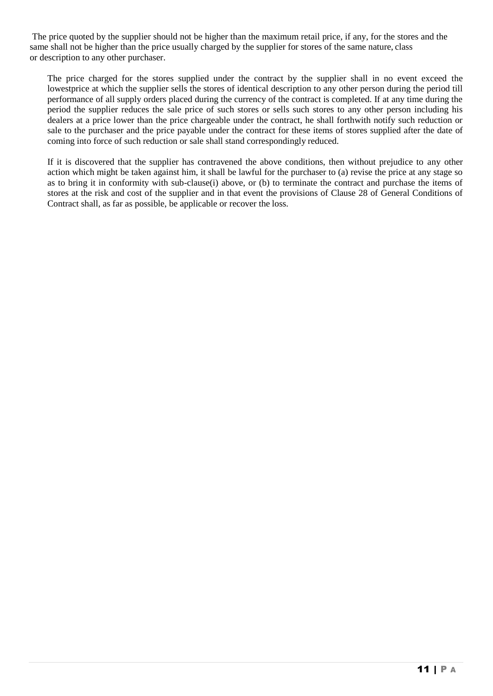The price quoted by the supplier should not be higher than the maximum retail price, if any, for the stores and the same shall not be higher than the price usually charged by the supplier for stores of the same nature, class or description to any other purchaser.

The price charged for the stores supplied under the contract by the supplier shall in no event exceed the lowestprice at which the supplier sells the stores of identical description to any other person during the period till performance of all supply orders placed during the currency of the contract is completed. If at any time during the period the supplier reduces the sale price of such stores or sells such stores to any other person including his dealers at a price lower than the price chargeable under the contract, he shall forthwith notify such reduction or sale to the purchaser and the price payable under the contract for these items of stores supplied after the date of coming into force of such reduction or sale shall stand correspondingly reduced.

If it is discovered that the supplier has contravened the above conditions, then without prejudice to any other action which might be taken against him, it shall be lawful for the purchaser to (a) revise the price at any stage so as to bring it in conformity with sub-clause(i) above, or (b) to terminate the contract and purchase the items of stores at the risk and cost of the supplier and in that event the provisions of Clause 28 of General Conditions of Contract shall, as far as possible, be applicable or recover the loss.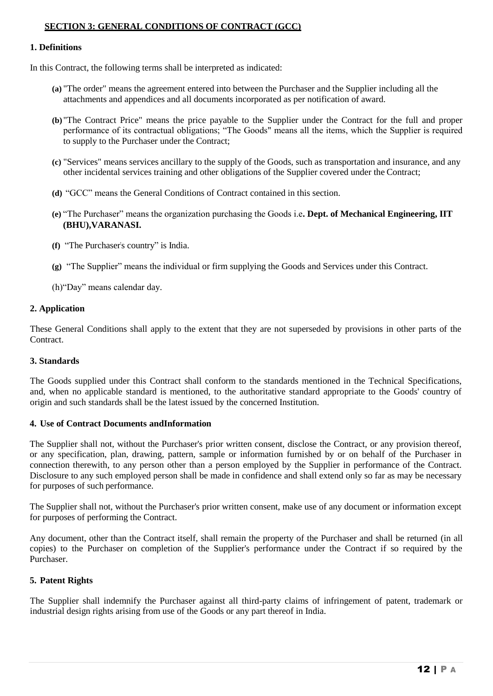#### **SECTION 3: GENERAL CONDITIONS OF CONTRACT (GCC)**

#### **1. Definitions**

In this Contract, the following terms shall be interpreted as indicated:

- **(a)** "The order" means the agreement entered into between the Purchaser and the Supplier including all the attachments and appendices and all documents incorporated as per notification of award.
- **(b)** "The Contract Price" means the price payable to the Supplier under the Contract for the full and proper performance of its contractual obligations; "The Goods" means all the items, which the Supplier is required to supply to the Purchaser under the Contract;
- **(c)** "Services" means services ancillary to the supply of the Goods, such as transportation and insurance, and any other incidental services training and other obligations of the Supplier covered under the Contract;
- **(d)** "GCC" means the General Conditions of Contract contained in this section.
- **(e)** "The Purchaser" means the organization purchasing the Goods i.e**. Dept. of Mechanical Engineering, IIT (BHU),VARANASI.**
- **(f)** "The Purchaser"s country" is India.
- **(g)** "The Supplier" means the individual or firm supplying the Goods and Services under this Contract.
- (h)"Day" means calendar day.

#### **2. Application**

These General Conditions shall apply to the extent that they are not superseded by provisions in other parts of the **Contract** 

#### **3. Standards**

The Goods supplied under this Contract shall conform to the standards mentioned in the Technical Specifications, and, when no applicable standard is mentioned, to the authoritative standard appropriate to the Goods' country of origin and such standards shall be the latest issued by the concerned Institution.

#### **4. Use of Contract Documents andInformation**

The Supplier shall not, without the Purchaser's prior written consent, disclose the Contract, or any provision thereof, or any specification, plan, drawing, pattern, sample or information furnished by or on behalf of the Purchaser in connection therewith, to any person other than a person employed by the Supplier in performance of the Contract. Disclosure to any such employed person shall be made in confidence and shall extend only so far as may be necessary for purposes of such performance.

The Supplier shall not, without the Purchaser's prior written consent, make use of any document or information except for purposes of performing the Contract.

Any document, other than the Contract itself, shall remain the property of the Purchaser and shall be returned (in all copies) to the Purchaser on completion of the Supplier's performance under the Contract if so required by the Purchaser.

#### **5. Patent Rights**

The Supplier shall indemnify the Purchaser against all third-party claims of infringement of patent, trademark or industrial design rights arising from use of the Goods or any part thereof in India.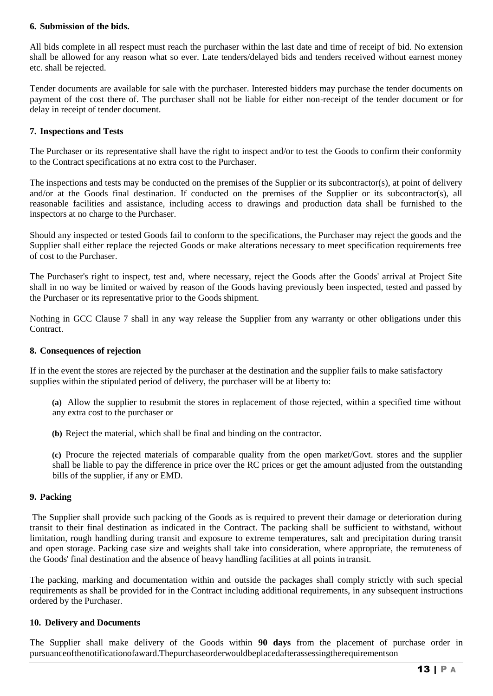### **6. Submission of the bids.**

All bids complete in all respect must reach the purchaser within the last date and time of receipt of bid. No extension shall be allowed for any reason what so ever. Late tenders/delayed bids and tenders received without earnest money etc. shall be rejected.

Tender documents are available for sale with the purchaser. Interested bidders may purchase the tender documents on payment of the cost there of. The purchaser shall not be liable for either non-receipt of the tender document or for delay in receipt of tender document.

#### **7. Inspections and Tests**

The Purchaser or its representative shall have the right to inspect and/or to test the Goods to confirm their conformity to the Contract specifications at no extra cost to the Purchaser.

The inspections and tests may be conducted on the premises of the Supplier or its subcontractor(s), at point of delivery and/or at the Goods final destination. If conducted on the premises of the Supplier or its subcontractor(s), all reasonable facilities and assistance, including access to drawings and production data shall be furnished to the inspectors at no charge to the Purchaser.

Should any inspected or tested Goods fail to conform to the specifications, the Purchaser may reject the goods and the Supplier shall either replace the rejected Goods or make alterations necessary to meet specification requirements free of cost to the Purchaser.

The Purchaser's right to inspect, test and, where necessary, reject the Goods after the Goods' arrival at Project Site shall in no way be limited or waived by reason of the Goods having previously been inspected, tested and passed by the Purchaser or its representative prior to the Goods shipment.

Nothing in GCC Clause 7 shall in any way release the Supplier from any warranty or other obligations under this Contract.

#### **8. Consequences of rejection**

If in the event the stores are rejected by the purchaser at the destination and the supplier fails to make satisfactory supplies within the stipulated period of delivery, the purchaser will be at liberty to:

**(a)** Allow the supplier to resubmit the stores in replacement of those rejected, within a specified time without any extra cost to the purchaser or

**(b)** Reject the material, which shall be final and binding on the contractor.

**(c)** Procure the rejected materials of comparable quality from the open market/Govt. stores and the supplier shall be liable to pay the difference in price over the RC prices or get the amount adjusted from the outstanding bills of the supplier, if any or EMD.

#### **9. Packing**

The Supplier shall provide such packing of the Goods as is required to prevent their damage or deterioration during transit to their final destination as indicated in the Contract. The packing shall be sufficient to withstand, without limitation, rough handling during transit and exposure to extreme temperatures, salt and precipitation during transit and open storage. Packing case size and weights shall take into consideration, where appropriate, the remuteness of the Goods' final destination and the absence of heavy handling facilities at all points intransit.

The packing, marking and documentation within and outside the packages shall comply strictly with such special requirements as shall be provided for in the Contract including additional requirements, in any subsequent instructions ordered by the Purchaser.

#### **10. Delivery and Documents**

The Supplier shall make delivery of the Goods within **90 days** from the placement of purchase order in pursuanceofthenotificationofaward.Thepurchaseorderwouldbeplacedafterassessingtherequirementson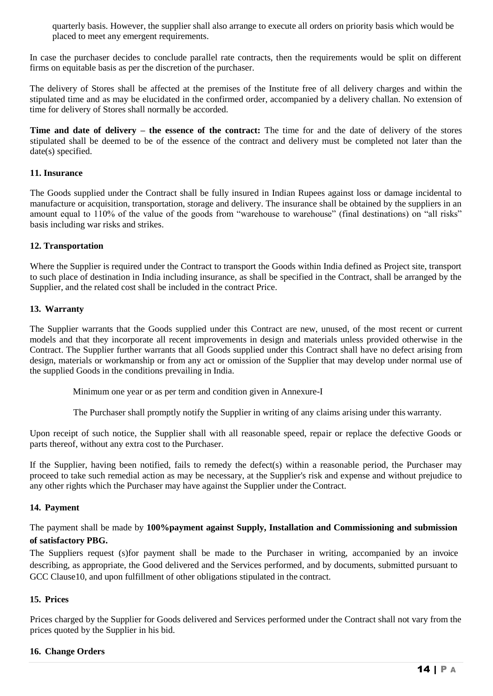quarterly basis. However, the supplier shall also arrange to execute all orders on priority basis which would be placed to meet any emergent requirements.

In case the purchaser decides to conclude parallel rate contracts, then the requirements would be split on different firms on equitable basis as per the discretion of the purchaser.

The delivery of Stores shall be affected at the premises of the Institute free of all delivery charges and within the stipulated time and as may be elucidated in the confirmed order, accompanied by a delivery challan. No extension of time for delivery of Stores shall normally be accorded.

**Time and date of delivery – the essence of the contract:** The time for and the date of delivery of the stores stipulated shall be deemed to be of the essence of the contract and delivery must be completed not later than the date(s) specified.

## **11. Insurance**

The Goods supplied under the Contract shall be fully insured in Indian Rupees against loss or damage incidental to manufacture or acquisition, transportation, storage and delivery. The insurance shall be obtained by the suppliers in an amount equal to 110% of the value of the goods from "warehouse to warehouse" (final destinations) on "all risks" basis including war risks and strikes.

#### **12. Transportation**

Where the Supplier is required under the Contract to transport the Goods within India defined as Project site, transport to such place of destination in India including insurance, as shall be specified in the Contract, shall be arranged by the Supplier, and the related cost shall be included in the contract Price.

#### **13. Warranty**

The Supplier warrants that the Goods supplied under this Contract are new, unused, of the most recent or current models and that they incorporate all recent improvements in design and materials unless provided otherwise in the Contract. The Supplier further warrants that all Goods supplied under this Contract shall have no defect arising from design, materials or workmanship or from any act or omission of the Supplier that may develop under normal use of the supplied Goods in the conditions prevailing in India.

Minimum one year or as per term and condition given in Annexure-I

The Purchaser shall promptly notify the Supplier in writing of any claims arising under this warranty.

Upon receipt of such notice, the Supplier shall with all reasonable speed, repair or replace the defective Goods or parts thereof, without any extra cost to the Purchaser.

If the Supplier, having been notified, fails to remedy the defect(s) within a reasonable period, the Purchaser may proceed to take such remedial action as may be necessary, at the Supplier's risk and expense and without prejudice to any other rights which the Purchaser may have against the Supplier under the Contract.

#### **14. Payment**

The payment shall be made by **100%payment against Supply, Installation and Commissioning and submission of satisfactory PBG.**

The Suppliers request (s)for payment shall be made to the Purchaser in writing, accompanied by an invoice describing, as appropriate, the Good delivered and the Services performed, and by documents, submitted pursuant to GCC Clause10, and upon fulfillment of other obligations stipulated in the contract.

## **15. Prices**

Prices charged by the Supplier for Goods delivered and Services performed under the Contract shall not vary from the prices quoted by the Supplier in his bid.

## **16. Change Orders**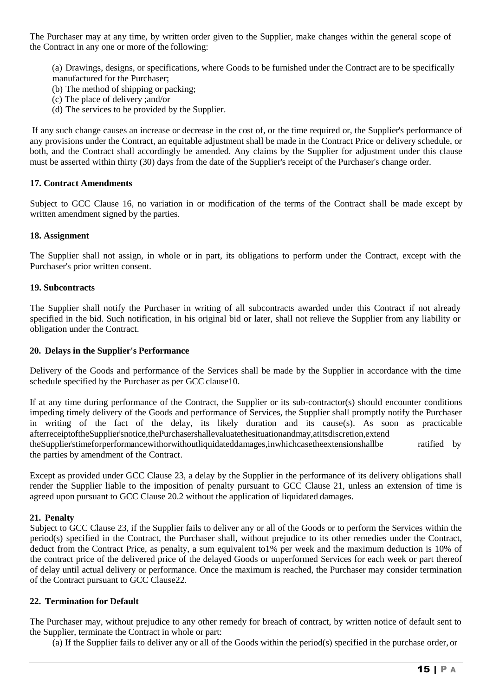The Purchaser may at any time, by written order given to the Supplier, make changes within the general scope of the Contract in any one or more of the following:

(a) Drawings, designs, or specifications, where Goods to be furnished under the Contract are to be specifically manufactured for the Purchaser;

- (b) The method of shipping or packing;
- (c) The place of delivery ;and/or
- (d) The services to be provided by the Supplier.

If any such change causes an increase or decrease in the cost of, or the time required or, the Supplier's performance of any provisions under the Contract, an equitable adjustment shall be made in the Contract Price or delivery schedule, or both, and the Contract shall accordingly be amended. Any claims by the Supplier for adjustment under this clause must be asserted within thirty (30) days from the date of the Supplier's receipt of the Purchaser's change order.

#### **17. Contract Amendments**

Subject to GCC Clause 16, no variation in or modification of the terms of the Contract shall be made except by written amendment signed by the parties.

#### **18. Assignment**

The Supplier shall not assign, in whole or in part, its obligations to perform under the Contract, except with the Purchaser's prior written consent.

#### **19. Subcontracts**

The Supplier shall notify the Purchaser in writing of all subcontracts awarded under this Contract if not already specified in the bid. Such notification, in his original bid or later, shall not relieve the Supplier from any liability or obligation under the Contract.

#### **20. Delays in the Supplier's Performance**

Delivery of the Goods and performance of the Services shall be made by the Supplier in accordance with the time schedule specified by the Purchaser as per GCC clause10.

If at any time during performance of the Contract, the Supplier or its sub-contractor(s) should encounter conditions impeding timely delivery of the Goods and performance of Services, the Supplier shall promptly notify the Purchaser in writing of the fact of the delay, its likely duration and its cause(s). As soon as practicable afterreceiptoftheSupplier"snotice,thePurchasershallevaluatethesituationandmay,atitsdiscretion,extend theSupplier"stimeforperformancewithorwithoutliquidateddamages,inwhichcasetheextensionshallbe ratified by the parties by amendment of the Contract.

Except as provided under GCC Clause 23, a delay by the Supplier in the performance of its delivery obligations shall render the Supplier liable to the imposition of penalty pursuant to GCC Clause 21, unless an extension of time is agreed upon pursuant to GCC Clause 20.2 without the application of liquidated damages.

#### **21. Penalty**

Subject to GCC Clause 23, if the Supplier fails to deliver any or all of the Goods or to perform the Services within the period(s) specified in the Contract, the Purchaser shall, without prejudice to its other remedies under the Contract, deduct from the Contract Price, as penalty, a sum equivalent to1% per week and the maximum deduction is 10% of the contract price of the delivered price of the delayed Goods or unperformed Services for each week or part thereof of delay until actual delivery or performance. Once the maximum is reached, the Purchaser may consider termination of the Contract pursuant to GCC Clause22.

#### **22. Termination for Default**

The Purchaser may, without prejudice to any other remedy for breach of contract, by written notice of default sent to the Supplier, terminate the Contract in whole or part:

(a) If the Supplier fails to deliver any or all of the Goods within the period(s) specified in the purchase order, or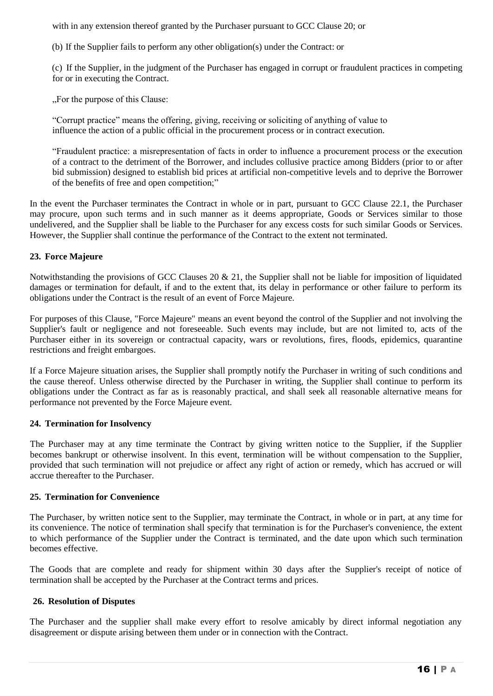with in any extension thereof granted by the Purchaser pursuant to GCC Clause 20; or

(b) If the Supplier fails to perform any other obligation(s) under the Contract: or

(c) If the Supplier, in the judgment of the Purchaser has engaged in corrupt or fraudulent practices in competing for or in executing the Contract.

...For the purpose of this Clause:

"Corrupt practice" means the offering, giving, receiving or soliciting of anything of value to influence the action of a public official in the procurement process or in contract execution.

"Fraudulent practice: a misrepresentation of facts in order to influence a procurement process or the execution of a contract to the detriment of the Borrower, and includes collusive practice among Bidders (prior to or after bid submission) designed to establish bid prices at artificial non-competitive levels and to deprive the Borrower of the benefits of free and open competition;"

In the event the Purchaser terminates the Contract in whole or in part, pursuant to GCC Clause 22.1, the Purchaser may procure, upon such terms and in such manner as it deems appropriate, Goods or Services similar to those undelivered, and the Supplier shall be liable to the Purchaser for any excess costs for such similar Goods or Services. However, the Supplier shall continue the performance of the Contract to the extent not terminated.

#### **23. Force Majeure**

Notwithstanding the provisions of GCC Clauses 20  $\&$  21, the Supplier shall not be liable for imposition of liquidated damages or termination for default, if and to the extent that, its delay in performance or other failure to perform its obligations under the Contract is the result of an event of Force Majeure.

For purposes of this Clause, "Force Majeure" means an event beyond the control of the Supplier and not involving the Supplier's fault or negligence and not foreseeable. Such events may include, but are not limited to, acts of the Purchaser either in its sovereign or contractual capacity, wars or revolutions, fires, floods, epidemics, quarantine restrictions and freight embargoes.

If a Force Majeure situation arises, the Supplier shall promptly notify the Purchaser in writing of such conditions and the cause thereof. Unless otherwise directed by the Purchaser in writing, the Supplier shall continue to perform its obligations under the Contract as far as is reasonably practical, and shall seek all reasonable alternative means for performance not prevented by the Force Majeure event.

#### **24. Termination for Insolvency**

The Purchaser may at any time terminate the Contract by giving written notice to the Supplier, if the Supplier becomes bankrupt or otherwise insolvent. In this event, termination will be without compensation to the Supplier, provided that such termination will not prejudice or affect any right of action or remedy, which has accrued or will accrue thereafter to the Purchaser.

#### **25. Termination for Convenience**

The Purchaser, by written notice sent to the Supplier, may terminate the Contract, in whole or in part, at any time for its convenience. The notice of termination shall specify that termination is for the Purchaser's convenience, the extent to which performance of the Supplier under the Contract is terminated, and the date upon which such termination becomes effective.

The Goods that are complete and ready for shipment within 30 days after the Supplier's receipt of notice of termination shall be accepted by the Purchaser at the Contract terms and prices.

## **26. Resolution of Disputes**

The Purchaser and the supplier shall make every effort to resolve amicably by direct informal negotiation any disagreement or dispute arising between them under or in connection with the Contract.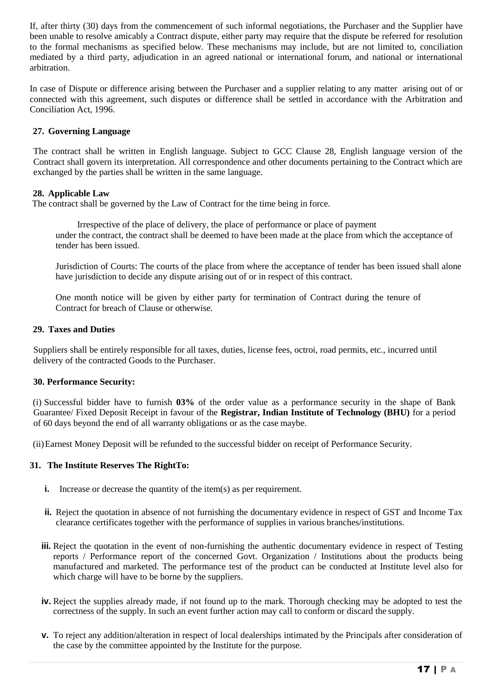If, after thirty (30) days from the commencement of such informal negotiations, the Purchaser and the Supplier have been unable to resolve amicably a Contract dispute, either party may require that the dispute be referred for resolution to the formal mechanisms as specified below. These mechanisms may include, but are not limited to, conciliation mediated by a third party, adjudication in an agreed national or international forum, and national or international arbitration.

In case of Dispute or difference arising between the Purchaser and a supplier relating to any matter arising out of or connected with this agreement, such disputes or difference shall be settled in accordance with the Arbitration and Conciliation Act, 1996.

## **27. Governing Language**

The contract shall be written in English language. Subject to GCC Clause 28, English language version of the Contract shall govern its interpretation. All correspondence and other documents pertaining to the Contract which are exchanged by the parties shall be written in the same language.

#### **28. Applicable Law**

The contract shall be governed by the Law of Contract for the time being in force.

Irrespective of the place of delivery, the place of performance or place of payment under the contract, the contract shall be deemed to have been made at the place from which the acceptance of tender has been issued.

Jurisdiction of Courts: The courts of the place from where the acceptance of tender has been issued shall alone have jurisdiction to decide any dispute arising out of or in respect of this contract.

One month notice will be given by either party for termination of Contract during the tenure of Contract for breach of Clause or otherwise.

#### **29. Taxes and Duties**

Suppliers shall be entirely responsible for all taxes, duties, license fees, octroi, road permits, etc., incurred until delivery of the contracted Goods to the Purchaser.

#### **30. Performance Security:**

(i) Successful bidder have to furnish **03%** of the order value as a performance security in the shape of Bank Guarantee/ Fixed Deposit Receipt in favour of the **Registrar, Indian Institute of Technology (BHU)** for a period of 60 days beyond the end of all warranty obligations or as the case maybe.

(ii)Earnest Money Deposit will be refunded to the successful bidder on receipt of Performance Security.

#### **31. The Institute Reserves The RightTo:**

- **i.** Increase or decrease the quantity of the item(s) as per requirement.
- **ii.** Reject the quotation in absence of not furnishing the documentary evidence in respect of GST and Income Tax clearance certificates together with the performance of supplies in various branches/institutions.
- **iii.** Reject the quotation in the event of non-furnishing the authentic documentary evidence in respect of Testing reports / Performance report of the concerned Govt. Organization / Institutions about the products being manufactured and marketed. The performance test of the product can be conducted at Institute level also for which charge will have to be borne by the suppliers.
- **iv.** Reject the supplies already made, if not found up to the mark. Thorough checking may be adopted to test the correctness of the supply. In such an event further action may call to conform or discard the supply.
- **v.** To reject any addition/alteration in respect of local dealerships intimated by the Principals after consideration of the case by the committee appointed by the Institute for the purpose.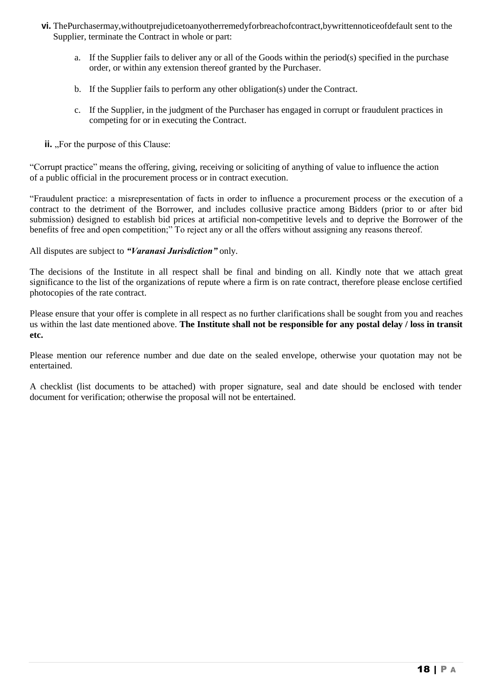- **vi.** ThePurchasermay,withoutprejudicetoanyotherremedyforbreachofcontract,bywrittennoticeofdefault sent to the Supplier, terminate the Contract in whole or part:
	- a. If the Supplier fails to deliver any or all of the Goods within the period(s) specified in the purchase order, or within any extension thereof granted by the Purchaser.
	- b. If the Supplier fails to perform any other obligation(s) under the Contract.
	- c. If the Supplier, in the judgment of the Purchaser has engaged in corrupt or fraudulent practices in competing for or in executing the Contract.
- **ii.**  $\Box$  For the purpose of this Clause:

"Corrupt practice" means the offering, giving, receiving or soliciting of anything of value to influence the action of a public official in the procurement process or in contract execution.

"Fraudulent practice: a misrepresentation of facts in order to influence a procurement process or the execution of a contract to the detriment of the Borrower, and includes collusive practice among Bidders (prior to or after bid submission) designed to establish bid prices at artificial non-competitive levels and to deprive the Borrower of the benefits of free and open competition;" To reject any or all the offers without assigning any reasons thereof.

All disputes are subject to *"Varanasi Jurisdiction"* only.

The decisions of the Institute in all respect shall be final and binding on all. Kindly note that we attach great significance to the list of the organizations of repute where a firm is on rate contract, therefore please enclose certified photocopies of the rate contract.

Please ensure that your offer is complete in all respect as no further clarifications shall be sought from you and reaches us within the last date mentioned above. **The Institute shall not be responsible for any postal delay / loss in transit etc.**

Please mention our reference number and due date on the sealed envelope, otherwise your quotation may not be entertained.

A checklist (list documents to be attached) with proper signature, seal and date should be enclosed with tender document for verification; otherwise the proposal will not be entertained.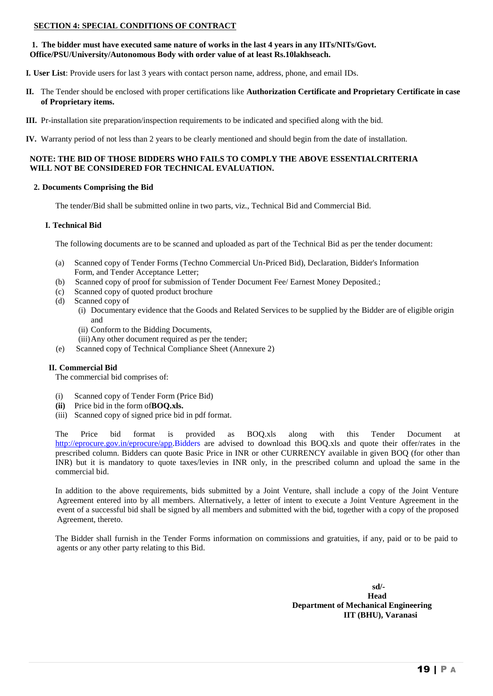#### **SECTION 4: SPECIAL CONDITIONS OF CONTRACT**

#### **1. The bidder must have executed same nature of works in the last 4 years in any IITs/NITs/Govt. Office/PSU/University/Autonomous Body with order value of at least Rs.10lakhseach.**

**I. User List**: Provide users for last 3 years with contact person name, address, phone, and email IDs.

- **II.** The Tender should be enclosed with proper certifications like **Authorization Certificate and Proprietary Certificate in case of Proprietary items.**
- **III.** Pr-installation site preparation/inspection requirements to be indicated and specified along with the bid.
- **IV.** Warranty period of not less than 2 years to be clearly mentioned and should begin from the date of installation.

#### **NOTE: THE BID OF THOSE BIDDERS WHO FAILS TO COMPLY THE ABOVE ESSENTIALCRITERIA WILL NOT BE CONSIDERED FOR TECHNICAL EVALUATION.**

#### **2. Documents Comprising the Bid**

The tender/Bid shall be submitted online in two parts, viz., Technical Bid and Commercial Bid.

#### **I. Technical Bid**

The following documents are to be scanned and uploaded as part of the Technical Bid as per the tender document:

- (a) Scanned copy of Tender Forms (Techno Commercial Un-Priced Bid), Declaration, Bidder's Information Form, and Tender Acceptance Letter;
- (b) Scanned copy of proof for submission of Tender Document Fee/ Earnest Money Deposited.;
- (c) Scanned copy of quoted product brochure
- (d) Scanned copy of
	- (i) Documentary evidence that the Goods and Related Services to be supplied by the Bidder are of eligible origin and
	- (ii) Conform to the Bidding Documents,
	- (iii)Any other document required as per the tender;
- (e) Scanned copy of Technical Compliance Sheet (Annexure 2)

#### **II. Commercial Bid**

The commercial bid comprises of:

- (i) Scanned copy of Tender Form (Price Bid)
- **(ii)** Price bid in the form of**BOQ.xls.**
- (iii) Scanned copy of signed price bid in pdf format.

The Price bid format is provided as BOQ.xls along with this Tender Document at [http://eprocure.gov.in/eprocure/app.B](http://eprocure.gov.in/eprocure/app)idders are advised to download this BOQ.xls and quote their offer/rates in the prescribed column. Bidders can quote Basic Price in INR or other CURRENCY available in given BOQ (for other than INR) but it is mandatory to quote taxes/levies in INR only, in the prescribed column and upload the same in the commercial bid.

In addition to the above requirements, bids submitted by a Joint Venture, shall include a copy of the Joint Venture Agreement entered into by all members. Alternatively, a letter of intent to execute a Joint Venture Agreement in the event of a successful bid shall be signed by all members and submitted with the bid, together with a copy of the proposed Agreement, thereto.

The Bidder shall furnish in the Tender Forms information on commissions and gratuities, if any, paid or to be paid to agents or any other party relating to this Bid.

> **sd/- Head Department of Mechanical Engineering IIT (BHU), Varanasi**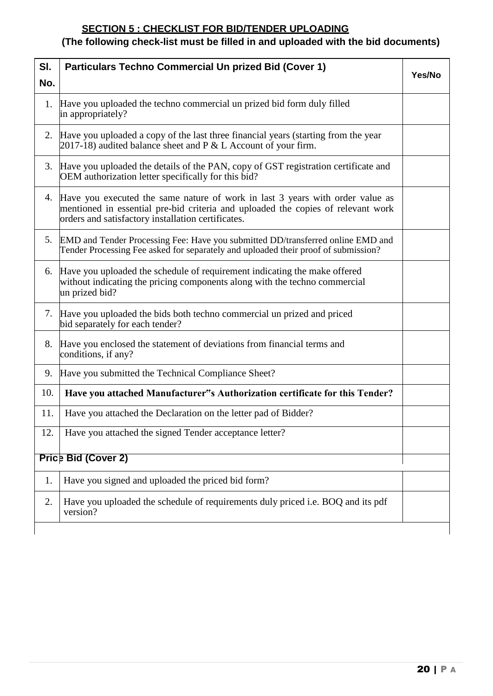## **SECTION 5 : CHECKLIST FOR BID/TENDER UPLOADING**

# **(The following check-list must be filled in and uploaded with the bid documents)**

| SI. | <b>Particulars Techno Commercial Un prized Bid (Cover 1)</b>                                                                                                                                                               |        |
|-----|----------------------------------------------------------------------------------------------------------------------------------------------------------------------------------------------------------------------------|--------|
| No. |                                                                                                                                                                                                                            | Yes/No |
| 1.  | Have you uploaded the techno commercial un prized bid form duly filled<br>in appropriately?                                                                                                                                |        |
|     | 2. Have you uploaded a copy of the last three financial years (starting from the year<br>$2017-18$ ) audited balance sheet and P & L Account of your firm.                                                                 |        |
|     | 3. Have you uploaded the details of the PAN, copy of GST registration certificate and<br>OEM authorization letter specifically for this bid?                                                                               |        |
|     | 4. Have you executed the same nature of work in last 3 years with order value as<br>mentioned in essential pre-bid criteria and uploaded the copies of relevant work<br>orders and satisfactory installation certificates. |        |
|     | 5. EMD and Tender Processing Fee: Have you submitted DD/transferred online EMD and<br>Tender Processing Fee asked for separately and uploaded their proof of submission?                                                   |        |
| 6.  | Have you uploaded the schedule of requirement indicating the make offered<br>without indicating the pricing components along with the techno commercial<br>un prized bid?                                                  |        |
|     | 7. Have you uploaded the bids both techno commercial un prized and priced<br>bid separately for each tender?                                                                                                               |        |
|     | 8. Have you enclosed the statement of deviations from financial terms and<br>conditions, if any?                                                                                                                           |        |
| 9.  | Have you submitted the Technical Compliance Sheet?                                                                                                                                                                         |        |
| 10. | Have you attached Manufacturer"s Authorization certificate for this Tender?                                                                                                                                                |        |
| 11. | Have you attached the Declaration on the letter pad of Bidder?                                                                                                                                                             |        |
| 12. | Have you attached the signed Tender acceptance letter?                                                                                                                                                                     |        |
|     | <b>Price Bid (Cover 2)</b>                                                                                                                                                                                                 |        |
| 1.  | Have you signed and uploaded the priced bid form?                                                                                                                                                                          |        |
| 2.  | Have you uploaded the schedule of requirements duly priced i.e. BOQ and its pdf<br>version?                                                                                                                                |        |
|     |                                                                                                                                                                                                                            |        |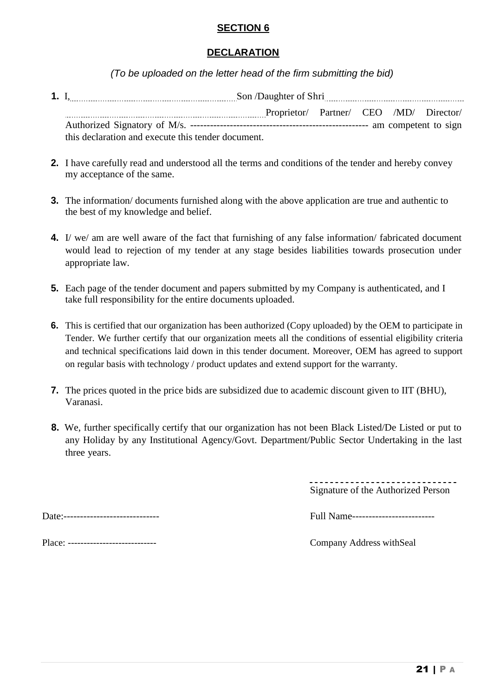## **SECTION 6**

## **DECLARATION**

*(To be uploaded on the letter head of the firm submitting the bid)*

- **1.** I, Son /Daughter of Shri Proprietor/ Partner/ CEO /MD/ Director/ Authorized Signatory of M/s. ------------------------------------------------------ am competent to sign this declaration and execute this tender document.
- **2.** I have carefully read and understood all the terms and conditions of the tender and hereby convey my acceptance of the same.
- **3.** The information/ documents furnished along with the above application are true and authentic to the best of my knowledge and belief.
- **4.** I/ we/ am are well aware of the fact that furnishing of any false information/ fabricated document would lead to rejection of my tender at any stage besides liabilities towards prosecution under appropriate law.
- **5.** Each page of the tender document and papers submitted by my Company is authenticated, and I take full responsibility for the entire documents uploaded.
- **6.** This is certified that our organization has been authorized (Copy uploaded) by the OEM to participate in Tender. We further certify that our organization meets all the conditions of essential eligibility criteria and technical specifications laid down in this tender document. Moreover, OEM has agreed to support on regular basis with technology / product updates and extend support for the warranty.
- **7.** The prices quoted in the price bids are subsidized due to academic discount given to IIT (BHU), Varanasi.
- **8.** We, further specifically certify that our organization has not been Black Listed/De Listed or put to any Holiday by any Institutional Agency/Govt. Department/Public Sector Undertaking in the last three years.

Signature of the Authorized Person

| Date:--<br>--------------------- |
|----------------------------------|
|----------------------------------|

| $\overline{\phantom{0}}$<br>Date<br>------------------------------- | чш.<br>.__________________________<br>.<br> |
|---------------------------------------------------------------------|---------------------------------------------|
|---------------------------------------------------------------------|---------------------------------------------|

Place: ---------------------------- Company Address withSeal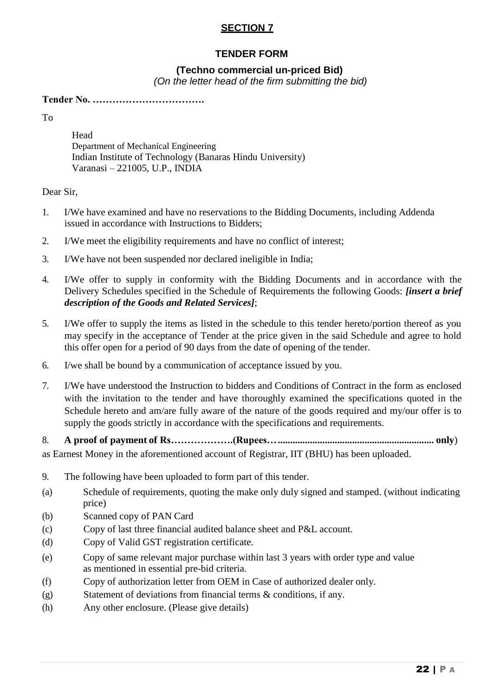## **SECTION 7**

## **TENDER FORM**

## **(Techno commercial un-priced Bid)**

*(On the letter head of the firm submitting the bid)*

**Tender No. …………………………….**

To

Head Department of Mechanical Engineering Indian Institute of Technology (Banaras Hindu University) Varanasi – 221005, U.P., INDIA

Dear Sir,

- 1. I/We have examined and have no reservations to the Bidding Documents, including Addenda issued in accordance with Instructions to Bidders;
- 2. I/We meet the eligibility requirements and have no conflict of interest;
- 3. I/We have not been suspended nor declared ineligible in India;
- 4. I/We offer to supply in conformity with the Bidding Documents and in accordance with the Delivery Schedules specified in the Schedule of Requirements the following Goods: *[insert a brief description of the Goods and Related Services]*;
- 5. I/We offer to supply the items as listed in the schedule to this tender hereto/portion thereof as you may specify in the acceptance of Tender at the price given in the said Schedule and agree to hold this offer open for a period of 90 days from the date of opening of the tender.
- 6. I/we shall be bound by a communication of acceptance issued by you.
- 7. I/We have understood the Instruction to bidders and Conditions of Contract in the form as enclosed with the invitation to the tender and have thoroughly examined the specifications quoted in the Schedule hereto and am/are fully aware of the nature of the goods required and my/our offer is to supply the goods strictly in accordance with the specifications and requirements.

8. **A proof of payment of Rs……………….(Rupees…............................................................... only**) as Earnest Money in the aforementioned account of Registrar, IIT (BHU) has been uploaded.

- 9. The following have been uploaded to form part of this tender.
- (a) Schedule of requirements, quoting the make only duly signed and stamped. (without indicating price)
- (b) Scanned copy of PAN Card
- (c) Copy of last three financial audited balance sheet and P&L account.
- (d) Copy of Valid GST registration certificate.
- (e) Copy of same relevant major purchase within last 3 years with order type and value as mentioned in essential pre-bid criteria.
- (f) Copy of authorization letter from OEM in Case of authorized dealer only.
- (g) Statement of deviations from financial terms & conditions, if any.
- (h) Any other enclosure. (Please give details)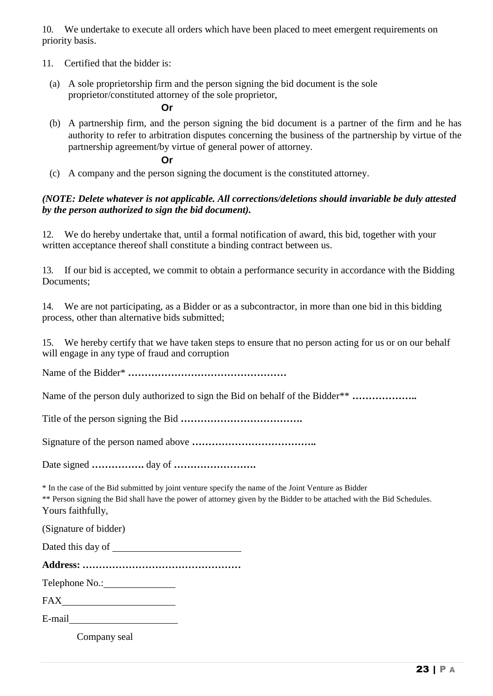10. We undertake to execute all orders which have been placed to meet emergent requirements on priority basis.

- 11. Certified that the bidder is:
	- (a) A sole proprietorship firm and the person signing the bid document is the sole proprietor/constituted attorney of the sole proprietor,

**Or**

(b) A partnership firm, and the person signing the bid document is a partner of the firm and he has authority to refer to arbitration disputes concerning the business of the partnership by virtue of the partnership agreement/by virtue of general power of attorney.

**Or**

(c) A company and the person signing the document is the constituted attorney.

## *(NOTE: Delete whatever is not applicable. All corrections/deletions should invariable be duly attested by the person authorized to sign the bid document).*

12. We do hereby undertake that, until a formal notification of award, this bid, together with your written acceptance thereof shall constitute a binding contract between us.

13. If our bid is accepted, we commit to obtain a performance security in accordance with the Bidding Documents;

14. We are not participating, as a Bidder or as a subcontractor, in more than one bid in this bidding process, other than alternative bids submitted;

15. We hereby certify that we have taken steps to ensure that no person acting for us or on our behalf will engage in any type of fraud and corruption

Name of the Bidder\* **…………………………………………**

Name of the person duly authorized to sign the Bid on behalf of the Bidder\*\* **………………..**

Title of the person signing the Bid **……………………………….**

Signature of the person named above **………………………………..**

Date signed **…………….** day of **…………………….**

\* In the case of the Bid submitted by joint venture specify the name of the Joint Venture as Bidder

\*\* Person signing the Bid shall have the power of attorney given by the Bidder to be attached with the Bid Schedules. Yours faithfully,

(Signature of bidder)

Dated this day of

**Address: …………………………………………**

Telephone No.:

FAX and the state of the state of the state of the state of the state of the state of the state of the state of the state of the state of the state of the state of the state of the state of the state of the state of the st

E-mail

Company seal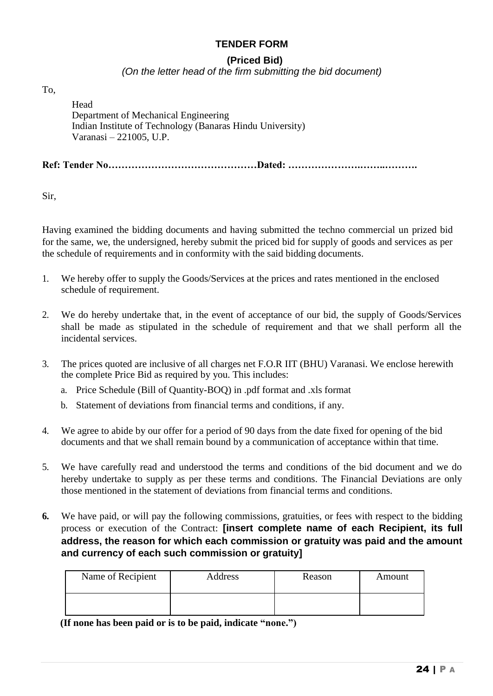## **TENDER FORM**

## **(Priced Bid)**

*(On the letter head of the firm submitting the bid document)*

To,

Head Department of Mechanical Engineering Indian Institute of Technology (Banaras Hindu University) Varanasi – 221005, U.P.

**Ref: Tender No………………………………………Dated: ………………….……..……….**

Sir,

Having examined the bidding documents and having submitted the techno commercial un prized bid for the same, we, the undersigned, hereby submit the priced bid for supply of goods and services as per the schedule of requirements and in conformity with the said bidding documents.

- 1. We hereby offer to supply the Goods/Services at the prices and rates mentioned in the enclosed schedule of requirement.
- 2. We do hereby undertake that, in the event of acceptance of our bid, the supply of Goods/Services shall be made as stipulated in the schedule of requirement and that we shall perform all the incidental services.
- 3. The prices quoted are inclusive of all charges net F.O.R IIT (BHU) Varanasi. We enclose herewith the complete Price Bid as required by you. This includes:
	- a. Price Schedule (Bill of Quantity-BOQ) in .pdf format and .xls format
	- b. Statement of deviations from financial terms and conditions, if any.
- 4. We agree to abide by our offer for a period of 90 days from the date fixed for opening of the bid documents and that we shall remain bound by a communication of acceptance within that time.
- 5. We have carefully read and understood the terms and conditions of the bid document and we do hereby undertake to supply as per these terms and conditions. The Financial Deviations are only those mentioned in the statement of deviations from financial terms and conditions.
- **6.** We have paid, or will pay the following commissions, gratuities, or fees with respect to the bidding process or execution of the Contract: **[insert complete name of each Recipient, its full address, the reason for which each commission or gratuity was paid and the amount and currency of each such commission or gratuity]**

| Name of Recipient | Address | Reason | Amount |
|-------------------|---------|--------|--------|
|                   |         |        |        |

**(If none has been paid or is to be paid, indicate "none.")**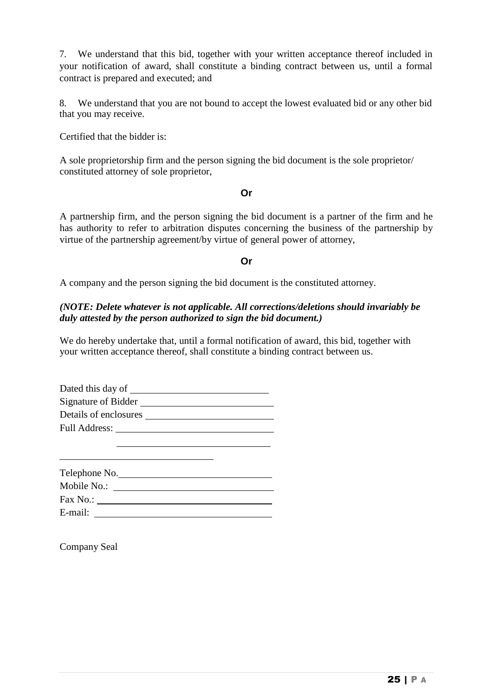7. We understand that this bid, together with your written acceptance thereof included in your notification of award, shall constitute a binding contract between us, until a formal contract is prepared and executed; and

8. We understand that you are not bound to accept the lowest evaluated bid or any other bid that you may receive.

Certified that the bidder is:

A sole proprietorship firm and the person signing the bid document is the sole proprietor/ constituted attorney of sole proprietor,

#### **Or**

A partnership firm, and the person signing the bid document is a partner of the firm and he has authority to refer to arbitration disputes concerning the business of the partnership by virtue of the partnership agreement/by virtue of general power of attorney,

## **Or**

A company and the person signing the bid document is the constituted attorney.

## *(NOTE: Delete whatever is not applicable. All corrections/deletions should invariably be duly attested by the person authorized to sign the bid document.)*

We do hereby undertake that, until a formal notification of award, this bid, together with your written acceptance thereof, shall constitute a binding contract between us.

| Dated this day of     |  |
|-----------------------|--|
| Signature of Bidder   |  |
| Details of enclosures |  |
| <b>Full Address:</b>  |  |
|                       |  |

| Telephone No. |  |
|---------------|--|
| Mobile No.:   |  |
| Fax No.:      |  |
| E-mail:       |  |

Company Seal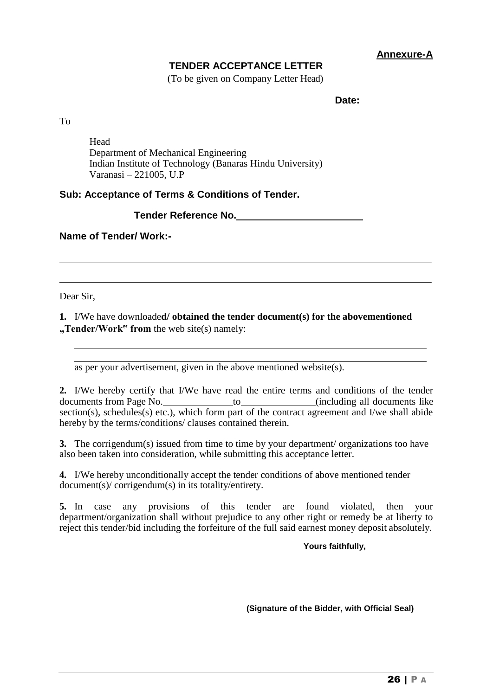**Annexure-A**

## **TENDER ACCEPTANCE LETTER**

(To be given on Company Letter Head)

**Date:**

To

Head Department of Mechanical Engineering Indian Institute of Technology (Banaras Hindu University) Varanasi – 221005, U.P

## **Sub: Acceptance of Terms & Conditions of Tender.**

## **Tender Reference No.**

**Name of Tender/ Work:-**

Dear Sir,

**1.** I/We have downloade**d/ obtained the tender document(s) for the abovementioned "Tender/Work" from** the web site(s) namely:

as per your advertisement, given in the above mentioned website(s).

**2.** I/We hereby certify that I/We have read the entire terms and conditions of the tender documents from Page No. to the control of the control of the control of the documents like section(s), schedules(s) etc.), which form part of the contract agreement and I/we shall abide hereby by the terms/conditions/ clauses contained therein.

**3.** The corrigendum(s) issued from time to time by your department/ organizations too have also been taken into consideration, while submitting this acceptance letter.

**4.** I/We hereby unconditionally accept the tender conditions of above mentioned tender document(s)/ corrigendum(s) in its totality/entirety.

**5.** In case any provisions of this tender are found violated, then your department/organization shall without prejudice to any other right or remedy be at liberty to reject this tender/bid including the forfeiture of the full said earnest money deposit absolutely.

## **Yours faithfully,**

**(Signature of the Bidder, with Official Seal)**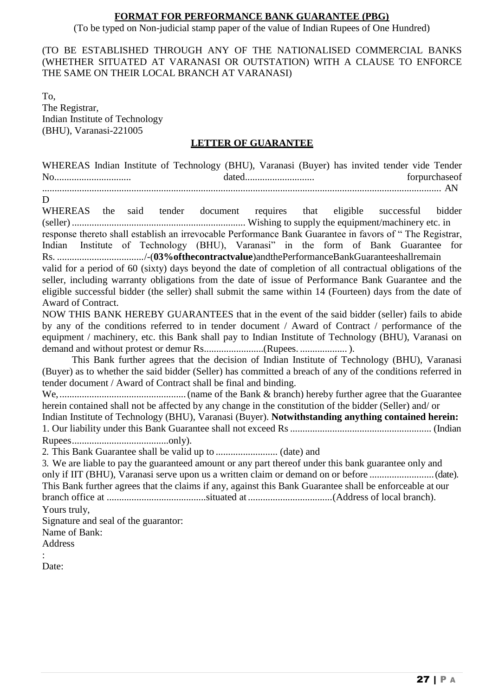## **FORMAT FOR PERFORMANCE BANK GUARANTEE (PBG)**

(To be typed on Non-judicial stamp paper of the value of Indian Rupees of One Hundred)

(TO BE ESTABLISHED THROUGH ANY OF THE NATIONALISED COMMERCIAL BANKS (WHETHER SITUATED AT VARANASI OR OUTSTATION) WITH A CLAUSE TO ENFORCE THE SAME ON THEIR LOCAL BRANCH AT VARANASI)

To, The Registrar, Indian Institute of Technology (BHU), Varanasi-221005

## **LETTER OF GUARANTEE**

WHEREAS Indian Institute of Technology (BHU), Varanasi (Buyer) has invited tender vide Tender No............................... dated............................ forpurchaseof ................................................................................................................................................................. AN D WHEREAS the said tender document requires that eligible successful bidder (seller) ...................................................................... Wishing to supply the equipment/machinery etc. in response thereto shall establish an irrevocable Performance Bank Guarantee in favors of " The Registrar, Indian Institute of Technology (BHU), Varanasi" in the form of Bank Guarantee for Rs. .................................../-(**03%ofthecontractvalue**)andthePerformanceBankGuaranteeshallremain valid for a period of 60 (sixty) days beyond the date of completion of all contractual obligations of the seller, including warranty obligations from the date of issue of Performance Bank Guarantee and the eligible successful bidder (the seller) shall submit the same within 14 (Fourteen) days from the date of Award of Contract. NOW THIS BANK HEREBY GUARANTEES that in the event of the said bidder (seller) fails to abide by any of the conditions referred to in tender document / Award of Contract / performance of the equipment / machinery, etc. this Bank shall pay to Indian Institute of Technology (BHU), Varanasi on demand and without protest or demur Rs........................(Rupees. ................... ). This Bank further agrees that the decision of Indian Institute of Technology (BHU), Varanasi (Buyer) as to whether the said bidder (Seller) has committed a breach of any of the conditions referred in tender document / Award of Contract shall be final and binding. We,...................................................(name of the Bank & branch) hereby further agree that the Guarantee herein contained shall not be affected by any change in the constitution of the bidder (Seller) and/ or Indian Institute of Technology (BHU), Varanasi (Buyer). **Notwithstanding anything contained herein:**  1. Our liability under this Bank Guarantee shall not exceed Rs......................................................... (Indian Rupees.......................................only). 2. This Bank Guarantee shall be valid up to ......................... (date) and 3. We are liable to pay the guaranteed amount or any part thereof under this bank guarantee only and only if IIT (BHU), Varanasi serve upon us a written claim or demand on or before .............................(date). This Bank further agrees that the claims if any, against this Bank Guarantee shall be enforceable at our branch office at ........................................situated at ..................................(Address of local branch). Yours truly, Signature and seal of the guarantor: Name of Bank: Address :

Date: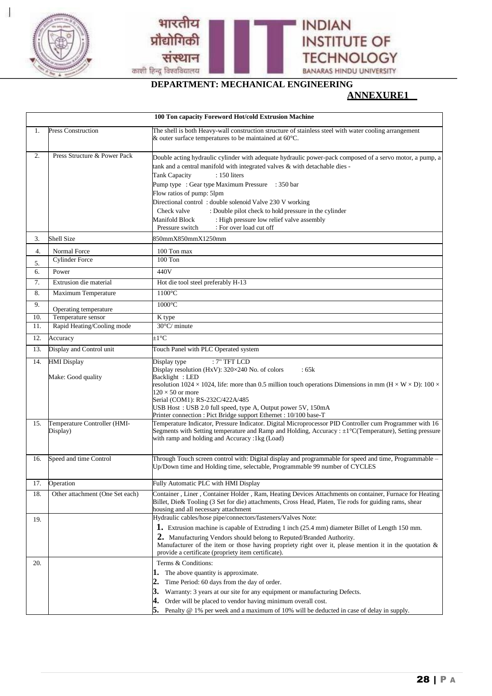

a.<br>Ka



**DEPARTMENT: MECHANICAL ENGINEERING**

## **ANNEXURE1**

|                  | 100 Ton capacity Foreword Hot/cold Extrusion Machine |                                                                                                                                                                                                                                                                                                                                                                                                                                                                                                                                                                      |  |  |  |  |
|------------------|------------------------------------------------------|----------------------------------------------------------------------------------------------------------------------------------------------------------------------------------------------------------------------------------------------------------------------------------------------------------------------------------------------------------------------------------------------------------------------------------------------------------------------------------------------------------------------------------------------------------------------|--|--|--|--|
| 1.               | <b>Press Construction</b>                            | The shell is both Heavy-wall construction structure of stainless steel with water cooling arrangement<br>& outer surface temperatures to be maintained at $60^{\circ}$ C.                                                                                                                                                                                                                                                                                                                                                                                            |  |  |  |  |
| $\overline{2}$ . | Press Structure & Power Pack                         | Double acting hydraulic cylinder with adequate hydraulic power-pack composed of a servo motor, a pump, a<br>tank and a central manifold with integrated valves $\&$ with detachable dies -<br>: 150 liters<br><b>Tank Capacity</b><br>Pump type : Gear type Maximum Pressure : 350 bar<br>Flow ratios of pump: 5lpm<br>Directional control: double solenoid Valve 230 V working<br>: Double pilot check to hold pressure in the cylinder<br>Check valve<br>: High pressure low relief valve assembly<br>Manifold Block<br>: For over load cut off<br>Pressure switch |  |  |  |  |
| 3.               | Shell Size                                           | 850mmX850mmX1250mm                                                                                                                                                                                                                                                                                                                                                                                                                                                                                                                                                   |  |  |  |  |
| 4.               | Normal Force                                         | 100 Ton max                                                                                                                                                                                                                                                                                                                                                                                                                                                                                                                                                          |  |  |  |  |
| 5.               | <b>Cylinder Force</b>                                | $100$ Ton                                                                                                                                                                                                                                                                                                                                                                                                                                                                                                                                                            |  |  |  |  |
| 6.               | Power                                                | 440V                                                                                                                                                                                                                                                                                                                                                                                                                                                                                                                                                                 |  |  |  |  |
| 7.               | Extrusion die material                               | Hot die tool steel preferably H-13                                                                                                                                                                                                                                                                                                                                                                                                                                                                                                                                   |  |  |  |  |
| 8.               | <b>Maximum Temperature</b>                           | $1100^{\circ}$ C                                                                                                                                                                                                                                                                                                                                                                                                                                                                                                                                                     |  |  |  |  |
| 9.               | Operating temperature                                | $1000^{\circ}$ C                                                                                                                                                                                                                                                                                                                                                                                                                                                                                                                                                     |  |  |  |  |
| 10.              | Temperature sensor                                   | K type                                                                                                                                                                                                                                                                                                                                                                                                                                                                                                                                                               |  |  |  |  |
| 11.              | Rapid Heating/Cooling mode                           | $30^{\circ}$ C/ minute                                                                                                                                                                                                                                                                                                                                                                                                                                                                                                                                               |  |  |  |  |
| 12.              | Accuracy                                             | $\pm 1^{\circ}$ C                                                                                                                                                                                                                                                                                                                                                                                                                                                                                                                                                    |  |  |  |  |
| 13.              | Display and Control unit                             | Touch Panel with PLC Operated system                                                                                                                                                                                                                                                                                                                                                                                                                                                                                                                                 |  |  |  |  |
| 14.              | <b>HMI</b> Display<br>Make: Good quality             | $:7"$ TFT LCD<br>Display type<br>Display resolution (HxV): 320×240 No. of colors<br>:65k<br>Backlight: LED<br>resolution 1024 $\times$ 1024, life: more than 0.5 million touch operations Dimensions in mm (H $\times$ W $\times$ D): 100 $\times$<br>$120 \times 50$ or more<br>Serial (COM1): RS-232C/422A/485<br>USB Host: USB 2.0 full speed, type A, Output power 5V, 150mA<br>Printer connection : Pict Bridge support Ethernet : 10/100 base-T                                                                                                                |  |  |  |  |
| 15.              | Temperature Controller (HMI-<br>Display)             | Temperature Indicator, Pressure Indicator. Digital Microprocessor PID Controller cum Programmer with 16<br>Segments with Setting temperature and Ramp and Holding, Accuracy : ±1°C(Temperature), Setting pressure<br>with ramp and holding and Accuracy :1kg (Load)                                                                                                                                                                                                                                                                                                  |  |  |  |  |
| 16.              | Speed and time Control                               | Through Touch screen control with: Digital display and programmable for speed and time, Programmable -<br>Up/Down time and Holding time, selectable, Programmable 99 number of CYCLES                                                                                                                                                                                                                                                                                                                                                                                |  |  |  |  |
| 17.              | Operation                                            | Fully Automatic PLC with HMI Display                                                                                                                                                                                                                                                                                                                                                                                                                                                                                                                                 |  |  |  |  |
| 18.              | Other attachment (One Set each)                      | Container, Liner, Container Holder, Ram, Heating Devices Attachments on container, Furnace for Heating<br>Billet, Die& Tooling (3 Set for die) attachments, Cross Head, Platen, Tie rods for guiding rams, shear<br>housing and all necessary attachment                                                                                                                                                                                                                                                                                                             |  |  |  |  |
| 19.<br>20.       |                                                      | Hydraulic cables/hose pipe/connectors/fasteners/Valves Note:<br><b>1.</b> Extrusion machine is capable of Extruding 1 inch (25.4 mm) diameter Billet of Length 150 mm.<br>2. Manufacturing Vendors should belong to Reputed/Branded Authority.<br>Manufacturer of the item or those having propriety right over it, please mention it in the quotation $\&$<br>provide a certificate (propriety item certificate).<br>Terms & Conditions:                                                                                                                            |  |  |  |  |
|                  |                                                      | The above quantity is approximate.<br>ı.<br>2.<br>Time Period: 60 days from the day of order.<br>Warranty: 3 years at our site for any equipment or manufacturing Defects.<br>3.<br>4.<br>Order will be placed to vendor having minimum overall cost.<br>5.<br>Penalty @ 1% per week and a maximum of 10% will be deducted in case of delay in supply.                                                                                                                                                                                                               |  |  |  |  |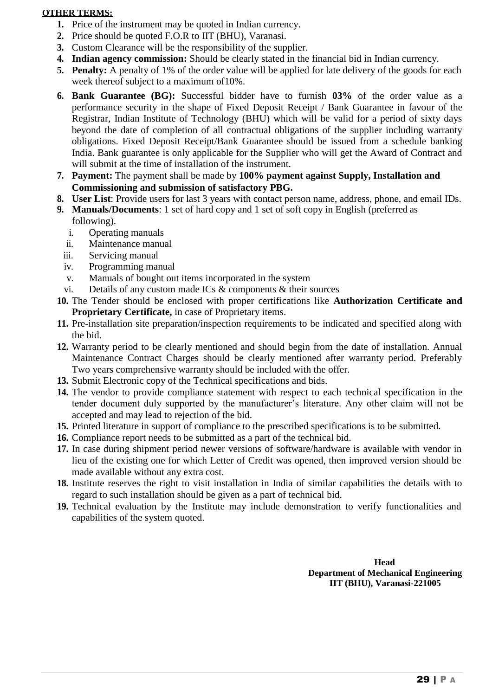#### **OTHER TERMS:**

- **1.** Price of the instrument may be quoted in Indian currency.
- **2.** Price should be quoted F.O.R to IIT (BHU), Varanasi.
- **3.** Custom Clearance will be the responsibility of the supplier.
- **4. Indian agency commission:** Should be clearly stated in the financial bid in Indian currency.
- **5. Penalty:** A penalty of 1% of the order value will be applied for late delivery of the goods for each week thereof subject to a maximum of10%.
- **6. Bank Guarantee (BG):** Successful bidder have to furnish **03%** of the order value as a performance security in the shape of Fixed Deposit Receipt / Bank Guarantee in favour of the Registrar, Indian Institute of Technology (BHU) which will be valid for a period of sixty days beyond the date of completion of all contractual obligations of the supplier including warranty obligations. Fixed Deposit Receipt/Bank Guarantee should be issued from a schedule banking India. Bank guarantee is only applicable for the Supplier who will get the Award of Contract and will submit at the time of installation of the instrument.
- **7. Payment:** The payment shall be made by **100% payment against Supply, Installation and Commissioning and submission of satisfactory PBG.**
- **8. User List**: Provide users for last 3 years with contact person name, address, phone, and email IDs.
- **9. Manuals/Documents**: 1 set of hard copy and 1 set of soft copy in English (preferred as following).
	- i. Operating manuals
	- ii. Maintenance manual
	- iii. Servicing manual
	- iv. Programming manual
	- v. Manuals of bought out items incorporated in the system
	- vi. Details of any custom made ICs & components & their sources
- **10.** The Tender should be enclosed with proper certifications like **Authorization Certificate and Proprietary Certificate,** in case of Proprietary items.
- **11.** Pre-installation site preparation/inspection requirements to be indicated and specified along with the bid.
- **12.** Warranty period to be clearly mentioned and should begin from the date of installation. Annual Maintenance Contract Charges should be clearly mentioned after warranty period. Preferably Two years comprehensive warranty should be included with the offer.
- **13.** Submit Electronic copy of the Technical specifications and bids.
- **14.** The vendor to provide compliance statement with respect to each technical specification in the tender document duly supported by the manufacturer's literature. Any other claim will not be accepted and may lead to rejection of the bid.
- **15.** Printed literature in support of compliance to the prescribed specifications is to be submitted.
- **16.** Compliance report needs to be submitted as a part of the technical bid.
- **17.** In case during shipment period newer versions of software/hardware is available with vendor in lieu of the existing one for which Letter of Credit was opened, then improved version should be made available without any extra cost.
- **18.** Institute reserves the right to visit installation in India of similar capabilities the details with to regard to such installation should be given as a part of technical bid.
- **19.** Technical evaluation by the Institute may include demonstration to verify functionalities and capabilities of the system quoted.

**Head Department of Mechanical Engineering IIT (BHU), Varanasi-221005**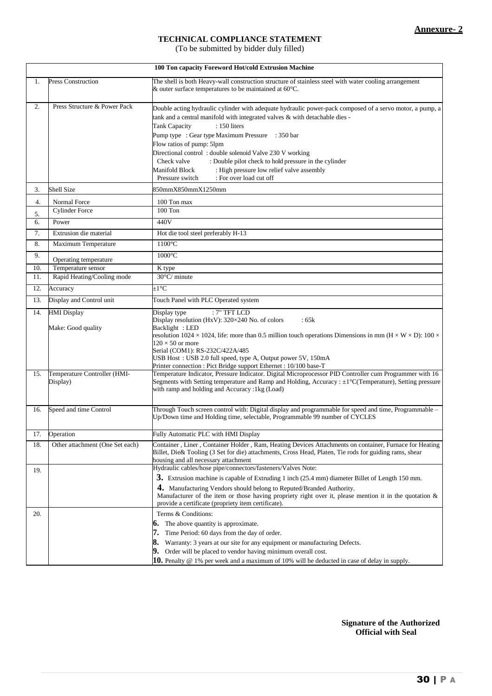## **TECHNICAL COMPLIANCE STATEMENT**

(To be submitted by bidder duly filled)

|                  | 100 Ton capacity Foreword Hot/cold Extrusion Machine |                                                                                                                                                                                                                                                                                                                                                                                                                                                                                                                                                                     |  |  |  |
|------------------|------------------------------------------------------|---------------------------------------------------------------------------------------------------------------------------------------------------------------------------------------------------------------------------------------------------------------------------------------------------------------------------------------------------------------------------------------------------------------------------------------------------------------------------------------------------------------------------------------------------------------------|--|--|--|
| 1.               | <b>Press Construction</b>                            | The shell is both Heavy-wall construction structure of stainless steel with water cooling arrangement<br>$\&$ outer surface temperatures to be maintained at 60 $^{\circ}$ C.                                                                                                                                                                                                                                                                                                                                                                                       |  |  |  |
| $\overline{2}$ . | Press Structure & Power Pack                         | Double acting hydraulic cylinder with adequate hydraulic power-pack composed of a servo motor, a pump, a<br>tank and a central manifold with integrated valves & with detachable dies -<br><b>Tank Capacity</b><br>$: 150$ liters<br>Pump type : Gear type Maximum Pressure : 350 bar<br>Flow ratios of pump: 5lpm<br>Directional control: double solenoid Valve 230 V working<br>Check valve<br>: Double pilot check to hold pressure in the cylinder<br>: High pressure low relief valve assembly<br>Manifold Block<br>: For over load cut off<br>Pressure switch |  |  |  |
| 3.               | Shell Size                                           | 850mmX850mmX1250mm                                                                                                                                                                                                                                                                                                                                                                                                                                                                                                                                                  |  |  |  |
| 4.<br>5.         | Normal Force<br><b>Cylinder Force</b>                | 100 Ton max<br>$100$ Ton                                                                                                                                                                                                                                                                                                                                                                                                                                                                                                                                            |  |  |  |
| 6.               | Power                                                | 440V                                                                                                                                                                                                                                                                                                                                                                                                                                                                                                                                                                |  |  |  |
| 7.               | Extrusion die material                               | Hot die tool steel preferably H-13                                                                                                                                                                                                                                                                                                                                                                                                                                                                                                                                  |  |  |  |
| 8.               | Maximum Temperature                                  | 1100°C                                                                                                                                                                                                                                                                                                                                                                                                                                                                                                                                                              |  |  |  |
| 9.               | Operating temperature                                | 1000°C                                                                                                                                                                                                                                                                                                                                                                                                                                                                                                                                                              |  |  |  |
| 10.              | Temperature sensor                                   | K type                                                                                                                                                                                                                                                                                                                                                                                                                                                                                                                                                              |  |  |  |
| 11.              | Rapid Heating/Cooling mode                           | 30°C/ minute                                                                                                                                                                                                                                                                                                                                                                                                                                                                                                                                                        |  |  |  |
| 12.              | Accuracy                                             | $\pm 1^{\circ}$ C                                                                                                                                                                                                                                                                                                                                                                                                                                                                                                                                                   |  |  |  |
| 13.              | Display and Control unit                             | Touch Panel with PLC Operated system                                                                                                                                                                                                                                                                                                                                                                                                                                                                                                                                |  |  |  |
| 14.              | <b>HMI</b> Display<br>Make: Good quality             | Display type<br>$:7"$ TFT LCD<br>Display resolution (HxV): 320×240 No. of colors<br>:65k<br>Backlight: LED<br>resolution 1024 $\times$ 1024, life: more than 0.5 million touch operations Dimensions in mm ( $H \times W \times D$ ): 100 $\times$<br>$120 \times 50$ or more<br>Serial (COM1): RS-232C/422A/485<br>USB Host: USB 2.0 full speed, type A, Output power 5V, 150mA<br>Printer connection : Pict Bridge support Ethernet : 10/100 base-T                                                                                                               |  |  |  |
| 15.              | Temperature Controller (HMI-<br>Display)             | Temperature Indicator, Pressure Indicator. Digital Microprocessor PID Controller cum Programmer with 16<br>Segments with Setting temperature and Ramp and Holding, Accuracy : $\pm 1^{\circ}$ C(Temperature), Setting pressure<br>with ramp and holding and Accuracy :1kg (Load)                                                                                                                                                                                                                                                                                    |  |  |  |
| 16.              | Speed and time Control                               | Through Touch screen control with: Digital display and programmable for speed and time, Programmable -<br>Up/Down time and Holding time, selectable, Programmable 99 number of CYCLES                                                                                                                                                                                                                                                                                                                                                                               |  |  |  |
| 17.              | Operation                                            | Fully Automatic PLC with HMI Display                                                                                                                                                                                                                                                                                                                                                                                                                                                                                                                                |  |  |  |
| 18.              | Other attachment (One Set each)                      | Container, Liner, Container Holder, Ram, Heating Devices Attachments on container, Furnace for Heating<br>Billet, Die& Tooling (3 Set for die) attachments, Cross Head, Platen, Tie rods for guiding rams, shear<br>housing and all necessary attachment                                                                                                                                                                                                                                                                                                            |  |  |  |
| 19.<br>20.       |                                                      | Hydraulic cables/hose pipe/connectors/fasteners/Valves Note:<br>3. Extrusion machine is capable of Extruding 1 inch (25.4 mm) diameter Billet of Length 150 mm.<br>4. Manufacturing Vendors should belong to Reputed/Branded Authority.<br>Manufacturer of the item or those having propriety right over it, please mention it in the quotation $\&$<br>provide a certificate (propriety item certificate).<br>Terms & Conditions:                                                                                                                                  |  |  |  |
|                  |                                                      | The above quantity is approximate.<br>6.<br>Time Period: 60 days from the day of order.<br>8.<br>Warranty: 3 years at our site for any equipment or manufacturing Defects.<br>9.<br>Order will be placed to vendor having minimum overall cost.<br><b>10.</b> Penalty $\omega$ 1% per week and a maximum of 10% will be deducted in case of delay in supply.                                                                                                                                                                                                        |  |  |  |

**Signature of the Authorized Official with Seal**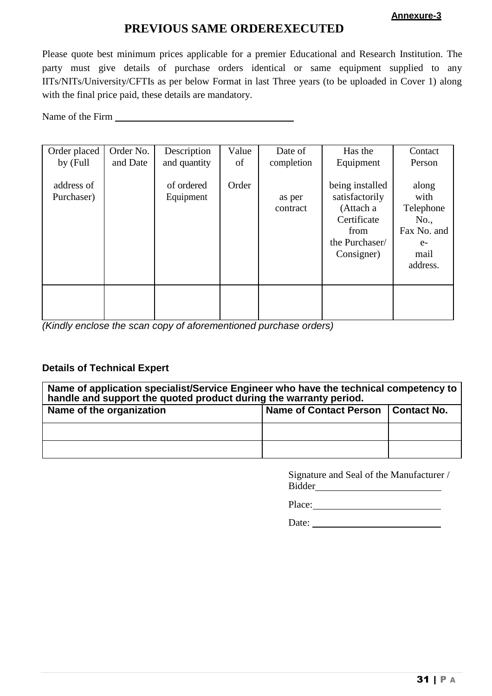#### **Annexure-3**

## **PREVIOUS SAME ORDEREXECUTED**

Please quote best minimum prices applicable for a premier Educational and Research Institution. The party must give details of purchase orders identical or same equipment supplied to any IITs/NITs/University/CFTIs as per below Format in last Three years (to be uploaded in Cover 1) along with the final price paid, these details are mandatory.

Name of the Firm

| Order placed<br>by (Full | Order No.<br>and Date | Description<br>and quantity | Value<br>of | Date of<br>completion | Has the<br>Equipment                                                                                  | Contact<br>Person                                                             |
|--------------------------|-----------------------|-----------------------------|-------------|-----------------------|-------------------------------------------------------------------------------------------------------|-------------------------------------------------------------------------------|
| address of<br>Purchaser) |                       | of ordered<br>Equipment     | Order       | as per<br>contract    | being installed<br>satisfactorily<br>(Attach a<br>Certificate<br>from<br>the Purchaser/<br>Consigner) | along<br>with<br>Telephone<br>No.,<br>Fax No. and<br>$e-$<br>mail<br>address. |
|                          |                       |                             |             |                       |                                                                                                       |                                                                               |

*(Kindly enclose the scan copy of aforementioned purchase orders)*

## **Details of Technical Expert**

| Name of application specialist/Service Engineer who have the technical competency to<br>handle and support the quoted product during the warranty period. |                        |             |  |  |  |  |
|-----------------------------------------------------------------------------------------------------------------------------------------------------------|------------------------|-------------|--|--|--|--|
| Name of the organization                                                                                                                                  | Name of Contact Person | Contact No. |  |  |  |  |
|                                                                                                                                                           |                        |             |  |  |  |  |
|                                                                                                                                                           |                        |             |  |  |  |  |

Signature and Seal of the Manufacturer / Bidder

Place:

Date: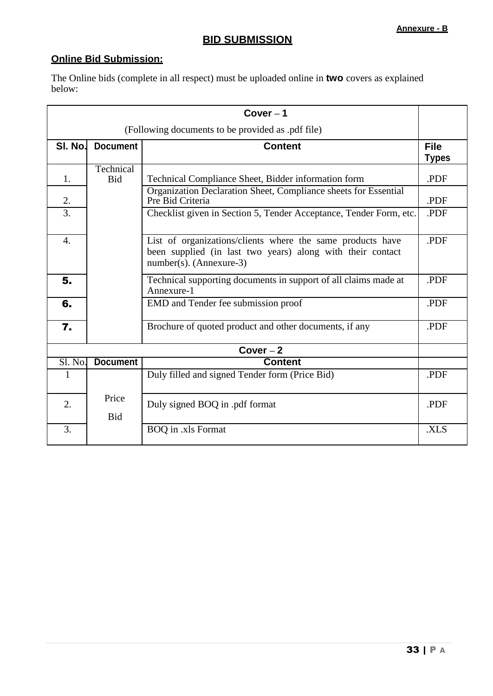## **BID SUBMISSION**

## **Online Bid Submission:**

The Online bids (complete in all respect) must be uploaded online in **two** covers as explained below:

| $Cover-1$                                         |                         |                                                                                                                                                        |                             |  |
|---------------------------------------------------|-------------------------|--------------------------------------------------------------------------------------------------------------------------------------------------------|-----------------------------|--|
| (Following documents to be provided as .pdf file) |                         |                                                                                                                                                        |                             |  |
| SI. No.                                           | <b>Document</b>         | <b>Content</b>                                                                                                                                         | <b>File</b><br><b>Types</b> |  |
| 1.                                                | Technical<br><b>Bid</b> | Technical Compliance Sheet, Bidder information form                                                                                                    | .PDF                        |  |
| 2.                                                |                         | Organization Declaration Sheet, Compliance sheets for Essential<br>Pre Bid Criteria                                                                    | .PDF                        |  |
| $\overline{3}$ .                                  |                         | Checklist given in Section 5, Tender Acceptance, Tender Form, etc.                                                                                     | .PDF                        |  |
| $\overline{4}$ .                                  |                         | List of organizations/clients where the same products have<br>been supplied (in last two years) along with their contact<br>$number(s)$ . (Annexure-3) | .PDF                        |  |
| 5.                                                |                         | Technical supporting documents in support of all claims made at<br>Annexure-1                                                                          | .PDF                        |  |
| 6.                                                |                         | EMD and Tender fee submission proof                                                                                                                    | .PDF                        |  |
| $\overline{7}$ .                                  |                         | Brochure of quoted product and other documents, if any                                                                                                 | .PDF                        |  |
|                                                   |                         | $Cover-2$                                                                                                                                              |                             |  |
| Sl. No.                                           | <b>Document</b>         | <b>Content</b>                                                                                                                                         |                             |  |
| 1                                                 |                         | Duly filled and signed Tender form (Price Bid)                                                                                                         | .PDF                        |  |
| 2.                                                | Price<br><b>Bid</b>     | Duly signed BOQ in .pdf format                                                                                                                         | .PDF                        |  |
| 3.                                                |                         | BOQ in .xls Format                                                                                                                                     | .XLS                        |  |